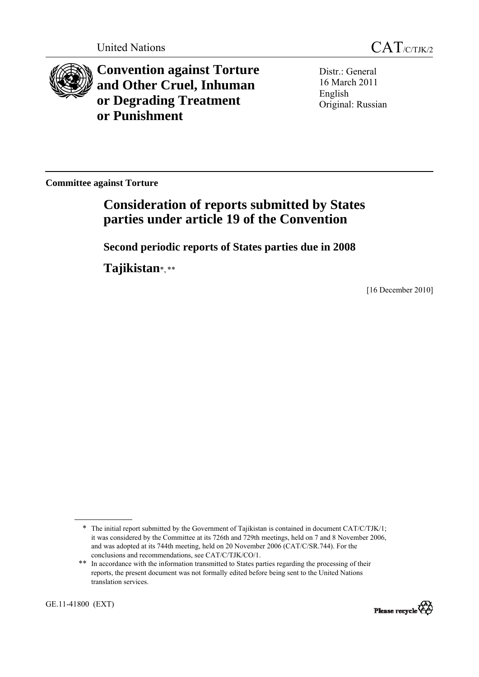

**Convention against Torture and Other Cruel, Inhuman or Degrading Treatment or Punishment**

Distr.: General 16 March 2011 English Original: Russian

**Committee against Torture** 

# **Consideration of reports submitted by States parties under article 19 of the Convention**

**Second periodic reports of States parties due in 2008** 

**Tajikistan**\*, \*\*

[16 December 2010]

GE.11-41800 (EXT)



<sup>\*</sup> The initial report submitted by the Government of Tajikistan is contained in document CAT/C/TJK/1; it was considered by the Committee at its 726th and 729th meetings, held on 7 and 8 November 2006, and was adopted at its 744th meeting, held on 20 November 2006 (CAT/C/SR.744). For the conclusions and recommendations, see CAT/C/TJK/CO/1.

<sup>\*\*</sup> In accordance with the information transmitted to States parties regarding the processing of their reports, the present document was not formally edited before being sent to the United Nations translation services.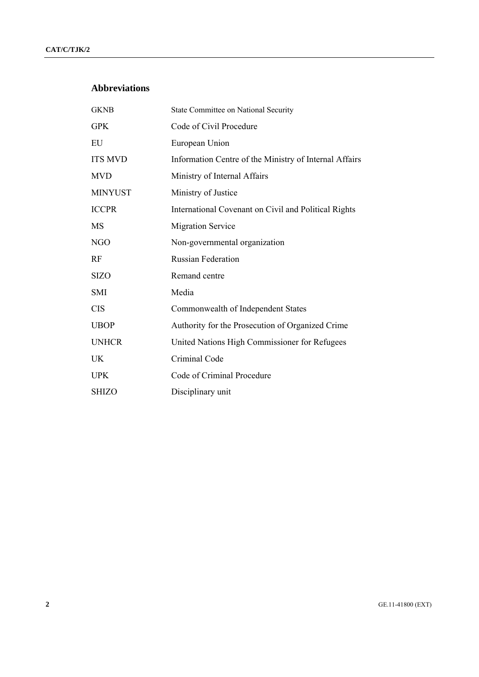## **Abbreviations**

| <b>GKNB</b>    | State Committee on National Security                   |
|----------------|--------------------------------------------------------|
| <b>GPK</b>     | Code of Civil Procedure                                |
| EU             | European Union                                         |
| <b>ITS MVD</b> | Information Centre of the Ministry of Internal Affairs |
| <b>MVD</b>     | Ministry of Internal Affairs                           |
| <b>MINYUST</b> | Ministry of Justice                                    |
| <b>ICCPR</b>   | International Covenant on Civil and Political Rights   |
| MS             | <b>Migration Service</b>                               |
| <b>NGO</b>     | Non-governmental organization                          |
| RF             | <b>Russian Federation</b>                              |
| <b>SIZO</b>    | Remand centre                                          |
| <b>SMI</b>     | Media                                                  |
| <b>CIS</b>     | Commonwealth of Independent States                     |
| <b>UBOP</b>    | Authority for the Prosecution of Organized Crime       |
| <b>UNHCR</b>   | United Nations High Commissioner for Refugees          |
| UK             | Criminal Code                                          |
| <b>UPK</b>     | Code of Criminal Procedure                             |
| <b>SHIZO</b>   | Disciplinary unit                                      |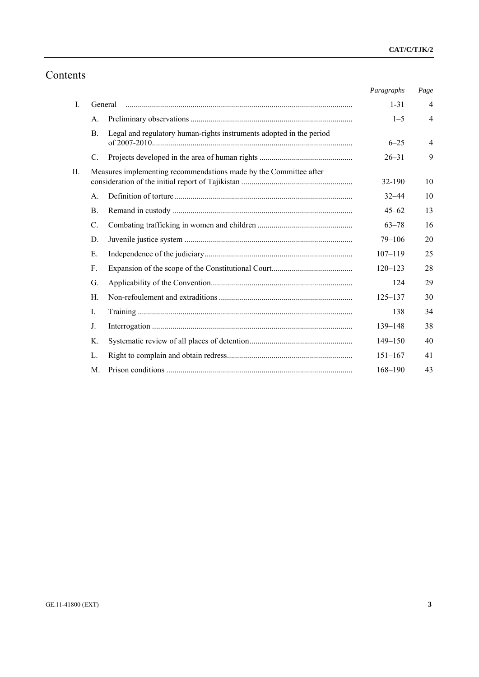# Contents

|    |             |                                                                     | Paragraphs  | Page           |
|----|-------------|---------------------------------------------------------------------|-------------|----------------|
| Ι. |             | General                                                             | $1 - 31$    | $\overline{4}$ |
|    | $A_{\cdot}$ |                                                                     | $1 - 5$     | $\overline{4}$ |
|    | <b>B.</b>   | Legal and regulatory human-rights instruments adopted in the period | $6 - 25$    | $\overline{4}$ |
|    | $C_{\cdot}$ |                                                                     | $26 - 31$   | 9              |
| П. |             | Measures implementing recommendations made by the Committee after   | 32-190      | 10             |
|    | $A_{\cdot}$ |                                                                     | $32 - 44$   | 10             |
|    | <b>B.</b>   |                                                                     | $45 - 62$   | 13             |
|    | C.          |                                                                     | $63 - 78$   | 16             |
|    | D.          |                                                                     | $79 - 106$  | 20             |
|    | Е.          |                                                                     | $107 - 119$ | 25             |
|    | F.          |                                                                     | $120 - 123$ | 28             |
|    | G.          |                                                                     | 124         | 29             |
|    | $H_{\cdot}$ |                                                                     | $125 - 137$ | 30             |
|    | I.          |                                                                     | 138         | 34             |
|    | J.          |                                                                     | $139 - 148$ | 38             |
|    | Κ.          |                                                                     | $149 - 150$ | 40             |
|    | L.          |                                                                     | $151 - 167$ | 41             |
|    | M.          |                                                                     | $168 - 190$ | 43             |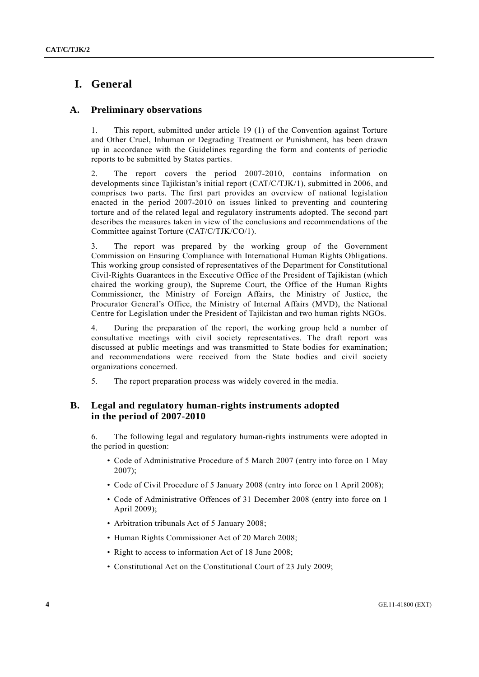## **I. General**

## **A. Preliminary observations**

1. This report, submitted under article 19 (1) of the Convention against Torture and Other Cruel, Inhuman or Degrading Treatment or Punishment, has been drawn up in accordance with the Guidelines regarding the form and contents of periodic reports to be submitted by States parties.

2. The report covers the period 2007-2010, contains information on developments since Tajikistan's initial report (CAT/C/TJK/1), submitted in 2006, and comprises two parts. The first part provides an overview of national legislation enacted in the period 2007-2010 on issues linked to preventing and countering torture and of the related legal and regulatory instruments adopted. The second part describes the measures taken in view of the conclusions and recommendations of the Committee against Torture (CAT/C/TJK/CO/1).

3. The report was prepared by the working group of the Government Commission on Ensuring Compliance with International Human Rights Obligations. This working group consisted of representatives of the Department for Constitutional Civil-Rights Guarantees in the Executive Office of the President of Tajikistan (which chaired the working group), the Supreme Court, the Office of the Human Rights Commissioner, the Ministry of Foreign Affairs, the Ministry of Justice, the Procurator General's Office, the Ministry of Internal Affairs (MVD), the National Centre for Legislation under the President of Tajikistan and two human rights NGOs.

4. During the preparation of the report, the working group held a number of consultative meetings with civil society representatives. The draft report was discussed at public meetings and was transmitted to State bodies for examination; and recommendations were received from the State bodies and civil society organizations concerned.

5. The report preparation process was widely covered in the media.

## **B. Legal and regulatory human-rights instruments adopted in the period of 2007-2010**

6. The following legal and regulatory human-rights instruments were adopted in the period in question:

- Code of Administrative Procedure of 5 March 2007 (entry into force on 1 May 2007);
- Code of Civil Procedure of 5 January 2008 (entry into force on 1 April 2008);
- Code of Administrative Offences of 31 December 2008 (entry into force on 1 April 2009);
- Arbitration tribunals Act of 5 January 2008;
- Human Rights Commissioner Act of 20 March 2008;
- Right to access to information Act of 18 June 2008;
- Constitutional Act on the Constitutional Court of 23 July 2009;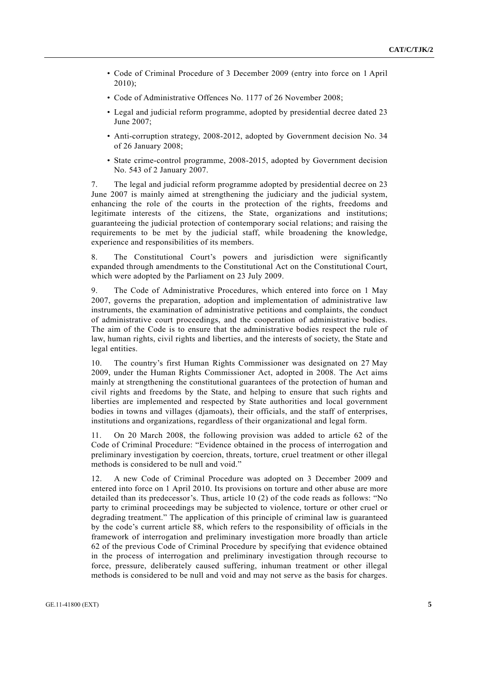- Code of Criminal Procedure of 3 December 2009 (entry into force on 1 April 2010);
- Code of Administrative Offences No. 1177 of 26 November 2008;
- Legal and judicial reform programme, adopted by presidential decree dated 23 June  $2007$
- Anti-corruption strategy, 2008-2012, adopted by Government decision No. 34 of 26 January 2008;
- State crime-control programme, 2008-2015, adopted by Government decision No. 543 of 2 January 2007.

7. The legal and judicial reform programme adopted by presidential decree on 23 June 2007 is mainly aimed at strengthening the judiciary and the judicial system, enhancing the role of the courts in the protection of the rights, freedoms and legitimate interests of the citizens, the State, organizations and institutions; guaranteeing the judicial protection of contemporary social relations; and raising the requirements to be met by the judicial staff, while broadening the knowledge, experience and responsibilities of its members.

8. The Constitutional Court's powers and jurisdiction were significantly expanded through amendments to the Constitutional Act on the Constitutional Court, which were adopted by the Parliament on 23 July 2009.

9. The Code of Administrative Procedures, which entered into force on 1 May 2007, governs the preparation, adoption and implementation of administrative law instruments, the examination of administrative petitions and complaints, the conduct of administrative court proceedings, and the cooperation of administrative bodies. The aim of the Code is to ensure that the administrative bodies respect the rule of law, human rights, civil rights and liberties, and the interests of society, the State and legal entities.

10. The country's first Human Rights Commissioner was designated on 27 May 2009, under the Human Rights Commissioner Act, adopted in 2008. The Act aims mainly at strengthening the constitutional guarantees of the protection of human and civil rights and freedoms by the State, and helping to ensure that such rights and liberties are implemented and respected by State authorities and local government bodies in towns and villages (djamoats), their officials, and the staff of enterprises, institutions and organizations, regardless of their organizational and legal form.

11. On 20 March 2008, the following provision was added to article 62 of the Code of Criminal Procedure: "Evidence obtained in the process of interrogation and preliminary investigation by coercion, threats, torture, cruel treatment or other illegal methods is considered to be null and void."

12. A new Code of Criminal Procedure was adopted on 3 December 2009 and entered into force on 1 April 2010. Its provisions on torture and other abuse are more detailed than its predecessor's. Thus, article 10 (2) of the code reads as follows: "No party to criminal proceedings may be subjected to violence, torture or other cruel or degrading treatment." The application of this principle of criminal law is guaranteed by the code's current article 88, which refers to the responsibility of officials in the framework of interrogation and preliminary investigation more broadly than article 62 of the previous Code of Criminal Procedure by specifying that evidence obtained in the process of interrogation and preliminary investigation through recourse to force, pressure, deliberately caused suffering, inhuman treatment or other illegal methods is considered to be null and void and may not serve as the basis for charges.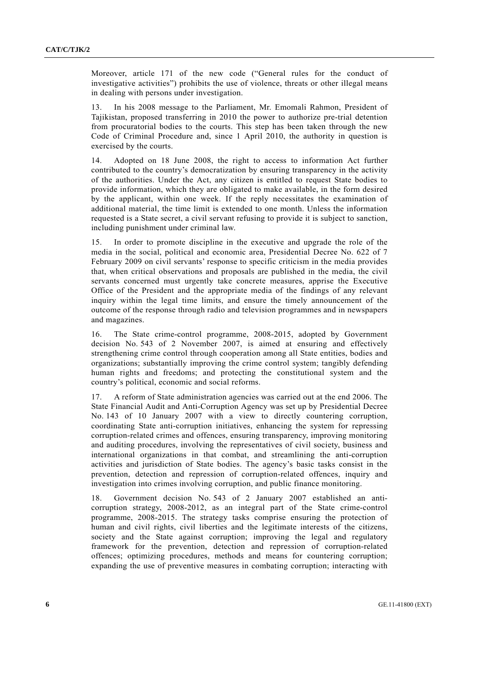Moreover, article 171 of the new code ("General rules for the conduct of investigative activities") prohibits the use of violence, threats or other illegal means in dealing with persons under investigation.

13. In his 2008 message to the Parliament, Mr. Emomali Rahmon, President of Tajikistan, proposed transferring in 2010 the power to authorize pre-trial detention from procuratorial bodies to the courts. This step has been taken through the new Code of Criminal Procedure and, since 1 April 2010, the authority in question is exercised by the courts.

14. Adopted on 18 June 2008, the right to access to information Act further contributed to the country's democratization by ensuring transparency in the activity of the authorities. Under the Act, any citizen is entitled to request State bodies to provide information, which they are obligated to make available, in the form desired by the applicant, within one week. If the reply necessitates the examination of additional material, the time limit is extended to one month. Unless the information requested is a State secret, a civil servant refusing to provide it is subject to sanction, including punishment under criminal law.

15. In order to promote discipline in the executive and upgrade the role of the media in the social, political and economic area, Presidential Decree No. 622 of 7 February 2009 on civil servants' response to specific criticism in the media provides that, when critical observations and proposals are published in the media, the civil servants concerned must urgently take concrete measures, apprise the Executive Office of the President and the appropriate media of the findings of any relevant inquiry within the legal time limits, and ensure the timely announcement of the outcome of the response through radio and television programmes and in newspapers and magazines.

16. The State crime-control programme, 2008-2015, adopted by Government decision No. 543 of 2 November 2007, is aimed at ensuring and effectively strengthening crime control through cooperation among all State entities, bodies and organizations; substantially improving the crime control system; tangibly defending human rights and freedoms; and protecting the constitutional system and the country's political, economic and social reforms.

17. A reform of State administration agencies was carried out at the end 2006. The State Financial Audit and Anti-Corruption Agency was set up by Presidential Decree No. 143 of 10 January 2007 with a view to directly countering corruption, coordinating State anti-corruption initiatives, enhancing the system for repressing corruption-related crimes and offences, ensuring transparency, improving monitoring and auditing procedures, involving the representatives of civil society, business and international organizations in that combat, and streamlining the anti-corruption activities and jurisdiction of State bodies. The agency's basic tasks consist in the prevention, detection and repression of corruption-related offences, inquiry and investigation into crimes involving corruption, and public finance monitoring.

18. Government decision No. 543 of 2 January 2007 established an anticorruption strategy, 2008-2012, as an integral part of the State crime-control programme, 2008-2015. The strategy tasks comprise ensuring the protection of human and civil rights, civil liberties and the legitimate interests of the citizens, society and the State against corruption; improving the legal and regulatory framework for the prevention, detection and repression of corruption-related offences; optimizing procedures, methods and means for countering corruption; expanding the use of preventive measures in combating corruption; interacting with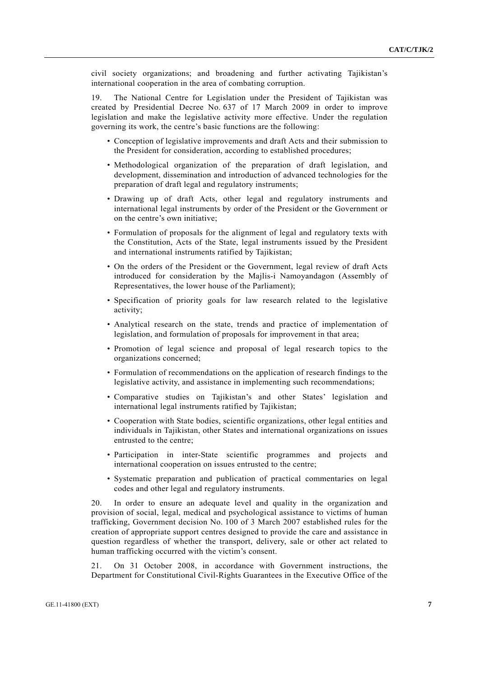civil society organizations; and broadening and further activating Tajikistan's international cooperation in the area of combating corruption.

19. The National Centre for Legislation under the President of Tajikistan was created by Presidential Decree No. 637 of 17 March 2009 in order to improve legislation and make the legislative activity more effective. Under the regulation governing its work, the centre's basic functions are the following:

- Conception of legislative improvements and draft Acts and their submission to the President for consideration, according to established procedures;
- Methodological organization of the preparation of draft legislation, and development, dissemination and introduction of advanced technologies for the preparation of draft legal and regulatory instruments;
- Drawing up of draft Acts, other legal and regulatory instruments and international legal instruments by order of the President or the Government or on the centre's own initiative;
- Formulation of proposals for the alignment of legal and regulatory texts with the Constitution, Acts of the State, legal instruments issued by the President and international instruments ratified by Tajikistan;
- On the orders of the President or the Government, legal review of draft Acts introduced for consideration by the Majlis-i Namoyandagon (Assembly of Representatives, the lower house of the Parliament);
- Specification of priority goals for law research related to the legislative activity;
- Analytical research on the state, trends and practice of implementation of legislation, and formulation of proposals for improvement in that area;
- Promotion of legal science and proposal of legal research topics to the organizations concerned;
- Formulation of recommendations on the application of research findings to the legislative activity, and assistance in implementing such recommendations;
- Comparative studies on Tajikistan's and other States' legislation and international legal instruments ratified by Tajikistan;
- Cooperation with State bodies, scientific organizations, other legal entities and individuals in Tajikistan, other States and international organizations on issues entrusted to the centre;
- Participation in inter-State scientific programmes and projects and international cooperation on issues entrusted to the centre;
- Systematic preparation and publication of practical commentaries on legal codes and other legal and regulatory instruments.

20. In order to ensure an adequate level and quality in the organization and provision of social, legal, medical and psychological assistance to victims of human trafficking, Government decision No. 100 of 3 March 2007 established rules for the creation of appropriate support centres designed to provide the care and assistance in question regardless of whether the transport, delivery, sale or other act related to human trafficking occurred with the victim's consent.

21. On 31 October 2008, in accordance with Government instructions, the Department for Constitutional Civil-Rights Guarantees in the Executive Office of the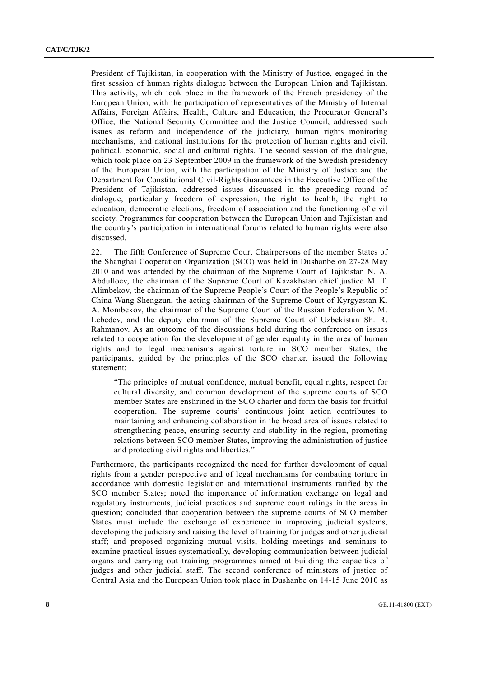President of Tajikistan, in cooperation with the Ministry of Justice, engaged in the first session of human rights dialogue between the European Union and Tajikistan. This activity, which took place in the framework of the French presidency of the European Union, with the participation of representatives of the Ministry of Internal Affairs, Foreign Affairs, Health, Culture and Education, the Procurator General's Office, the National Security Committee and the Justice Council, addressed such issues as reform and independence of the judiciary, human rights monitoring mechanisms, and national institutions for the protection of human rights and civil, political, economic, social and cultural rights. The second session of the dialogue, which took place on 23 September 2009 in the framework of the Swedish presidency of the European Union, with the participation of the Ministry of Justice and the Department for Constitutional Civil-Rights Guarantees in the Executive Office of the President of Tajikistan, addressed issues discussed in the preceding round of dialogue, particularly freedom of expression, the right to health, the right to education, democratic elections, freedom of association and the functioning of civil society. Programmes for cooperation between the European Union and Tajikistan and the country's participation in international forums related to human rights were also discussed.

22. The fifth Conference of Supreme Court Chairpersons of the member States of the Shanghai Cooperation Organization (SCO) was held in Dushanbe on 27-28 May 2010 and was attended by the chairman of the Supreme Court of Tajikistan N. A. Abdulloev, the chairman of the Supreme Court of Kazakhstan chief justice M. T. Alimbekov, the chairman of the Supreme People's Court of the People's Republic of China Wang Shengzun, the acting chairman of the Supreme Court of Kyrgyzstan K. A. Mombekov, the chairman of the Supreme Court of the Russian Federation V. M. Lebedev, and the deputy chairman of the Supreme Court of Uzbekistan Sh. R. Rahmanov. As an outcome of the discussions held during the conference on issues related to cooperation for the development of gender equality in the area of human rights and to legal mechanisms against torture in SCO member States, the participants, guided by the principles of the SCO charter, issued the following statement:

"The principles of mutual confidence, mutual benefit, equal rights, respect for cultural diversity, and common development of the supreme courts of SCO member States are enshrined in the SCO charter and form the basis for fruitful cooperation. The supreme courts' continuous joint action contributes to maintaining and enhancing collaboration in the broad area of issues related to strengthening peace, ensuring security and stability in the region, promoting relations between SCO member States, improving the administration of justice and protecting civil rights and liberties."

Furthermore, the participants recognized the need for further development of equal rights from a gender perspective and of legal mechanisms for combating torture in accordance with domestic legislation and international instruments ratified by the SCO member States; noted the importance of information exchange on legal and regulatory instruments, judicial practices and supreme court rulings in the areas in question; concluded that cooperation between the supreme courts of SCO member States must include the exchange of experience in improving judicial systems, developing the judiciary and raising the level of training for judges and other judicial staff; and proposed organizing mutual visits, holding meetings and seminars to examine practical issues systematically, developing communication between judicial organs and carrying out training programmes aimed at building the capacities of judges and other judicial staff. The second conference of ministers of justice of Central Asia and the European Union took place in Dushanbe on 14-15 June 2010 as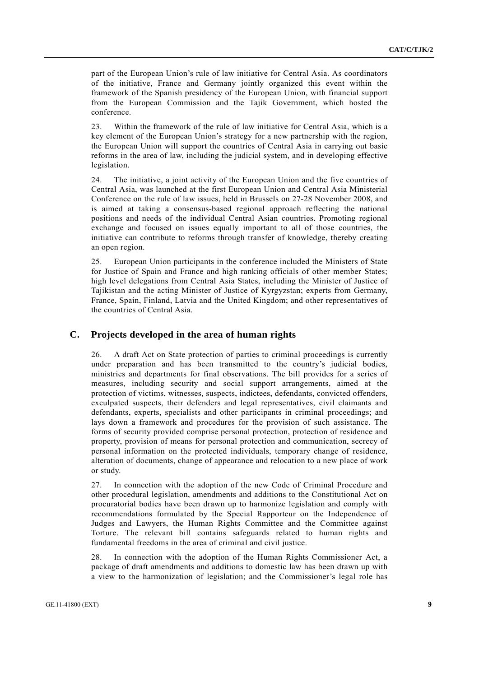part of the European Union's rule of law initiative for Central Asia. As coordinators of the initiative, France and Germany jointly organized this event within the framework of the Spanish presidency of the European Union, with financial support from the European Commission and the Tajik Government, which hosted the conference.

23. Within the framework of the rule of law initiative for Central Asia, which is a key element of the European Union's strategy for a new partnership with the region, the European Union will support the countries of Central Asia in carrying out basic reforms in the area of law, including the judicial system, and in developing effective legislation.

24. The initiative, a joint activity of the European Union and the five countries of Central Asia, was launched at the first European Union and Central Asia Ministerial Conference on the rule of law issues, held in Brussels on 27-28 November 2008, and is aimed at taking a consensus-based regional approach reflecting the national positions and needs of the individual Central Asian countries. Promoting regional exchange and focused on issues equally important to all of those countries, the initiative can contribute to reforms through transfer of knowledge, thereby creating an open region.

25. European Union participants in the conference included the Ministers of State for Justice of Spain and France and high ranking officials of other member States; high level delegations from Central Asia States, including the Minister of Justice of Tajikistan and the acting Minister of Justice of Kyrgyzstan; experts from Germany, France, Spain, Finland, Latvia and the United Kingdom; and other representatives of the countries of Central Asia.

#### **C. Projects developed in the area of human rights**

26. A draft Act on State protection of parties to criminal proceedings is currently under preparation and has been transmitted to the country's judicial bodies, ministries and departments for final observations. The bill provides for a series of measures, including security and social support arrangements, aimed at the protection of victims, witnesses, suspects, indictees, defendants, convicted offenders, exculpated suspects, their defenders and legal representatives, civil claimants and defendants, experts, specialists and other participants in criminal proceedings; and lays down a framework and procedures for the provision of such assistance. The forms of security provided comprise personal protection, protection of residence and property, provision of means for personal protection and communication, secrecy of personal information on the protected individuals, temporary change of residence, alteration of documents, change of appearance and relocation to a new place of work or study.

27. In connection with the adoption of the new Code of Criminal Procedure and other procedural legislation, amendments and additions to the Constitutional Act on procuratorial bodies have been drawn up to harmonize legislation and comply with recommendations formulated by the Special Rapporteur on the Independence of Judges and Lawyers, the Human Rights Committee and the Committee against Torture. The relevant bill contains safeguards related to human rights and fundamental freedoms in the area of criminal and civil justice.

In connection with the adoption of the Human Rights Commissioner Act, a package of draft amendments and additions to domestic law has been drawn up with a view to the harmonization of legislation; and the Commissioner's legal role has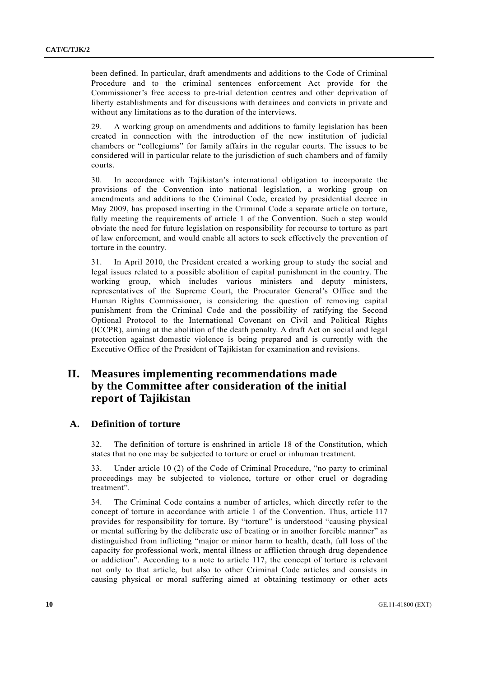been defined. In particular, draft amendments and additions to the Code of Criminal Procedure and to the criminal sentences enforcement Act provide for the Commissioner's free access to pre-trial detention centres and other deprivation of liberty establishments and for discussions with detainees and convicts in private and without any limitations as to the duration of the interviews.

29. A working group on amendments and additions to family legislation has been created in connection with the introduction of the new institution of judicial chambers or "collegiums" for family affairs in the regular courts. The issues to be considered will in particular relate to the jurisdiction of such chambers and of family courts.

30. In accordance with Tajikistan's international obligation to incorporate the provisions of the Convention into national legislation, a working group on amendments and additions to the Criminal Code, created by presidential decree in May 2009, has proposed inserting in the Criminal Code a separate article on torture, fully meeting the requirements of article 1 of the Convention. Such a step would obviate the need for future legislation on responsibility for recourse to torture as part of law enforcement, and would enable all actors to seek effectively the prevention of torture in the country.

31. In April 2010, the President created a working group to study the social and legal issues related to a possible abolition of capital punishment in the country. The working group, which includes various ministers and deputy ministers, representatives of the Supreme Court, the Procurator General's Office and the Human Rights Commissioner, is considering the question of removing capital punishment from the Criminal Code and the possibility of ratifying the Second Optional Protocol to the International Covenant on Civil and Political Rights (ICCPR), aiming at the abolition of the death penalty. A draft Act on social and legal protection against domestic violence is being prepared and is currently with the Executive Office of the President of Tajikistan for examination and revisions.

## **II. Measures implementing recommendations made by the Committee after consideration of the initial report of Tajikistan**

#### **A. Definition of torture**

32. The definition of torture is enshrined in article 18 of the Constitution, which states that no one may be subjected to torture or cruel or inhuman treatment.

33. Under article 10 (2) of the Code of Criminal Procedure, "no party to criminal proceedings may be subjected to violence, torture or other cruel or degrading treatment".

34. The Criminal Code contains a number of articles, which directly refer to the concept of torture in accordance with article 1 of the Convention. Thus, article 117 provides for responsibility for torture. By "torture" is understood "causing physical or mental suffering by the deliberate use of beating or in another forcible manner" as distinguished from inflicting "major or minor harm to health, death, full loss of the capacity for professional work, mental illness or affliction through drug dependence or addiction". According to a note to article 117, the concept of torture is relevant not only to that article, but also to other Criminal Code articles and consists in causing physical or moral suffering aimed at obtaining testimony or other acts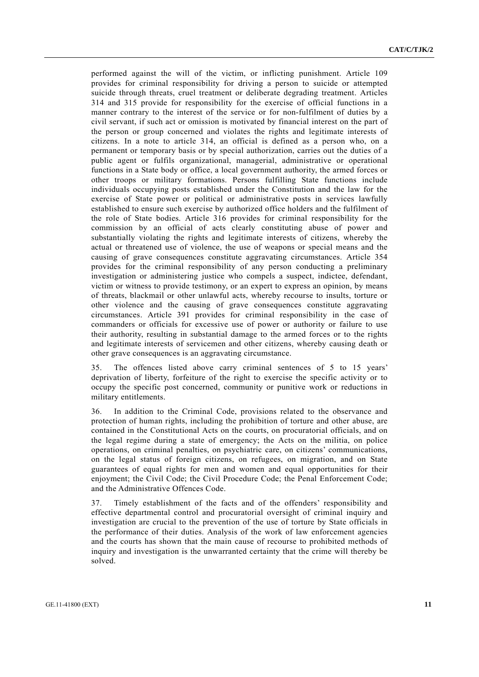performed against the will of the victim, or inflicting punishment. Article 109 provides for criminal responsibility for driving a person to suicide or attempted suicide through threats, cruel treatment or deliberate degrading treatment. Articles 314 and 315 provide for responsibility for the exercise of official functions in a manner contrary to the interest of the service or for non-fulfilment of duties by a civil servant, if such act or omission is motivated by financial interest on the part of the person or group concerned and violates the rights and legitimate interests of citizens. In a note to article 314, an official is defined as a person who, on a permanent or temporary basis or by special authorization, carries out the duties of a public agent or fulfils organizational, managerial, administrative or operational functions in a State body or office, a local government authority, the armed forces or other troops or military formations. Persons fulfilling State functions include individuals occupying posts established under the Constitution and the law for the exercise of State power or political or administrative posts in services lawfully established to ensure such exercise by authorized office holders and the fulfilment of the role of State bodies. Article 316 provides for criminal responsibility for the commission by an official of acts clearly constituting abuse of power and substantially violating the rights and legitimate interests of citizens, whereby the actual or threatened use of violence, the use of weapons or special means and the causing of grave consequences constitute aggravating circumstances. Article 354 provides for the criminal responsibility of any person conducting a preliminary investigation or administering justice who compels a suspect, indictee, defendant, victim or witness to provide testimony, or an expert to express an opinion, by means of threats, blackmail or other unlawful acts, whereby recourse to insults, torture or other violence and the causing of grave consequences constitute aggravating circumstances. Article 391 provides for criminal responsibility in the case of commanders or officials for excessive use of power or authority or failure to use their authority, resulting in substantial damage to the armed forces or to the rights and legitimate interests of servicemen and other citizens, whereby causing death or other grave consequences is an aggravating circumstance.

35. The offences listed above carry criminal sentences of 5 to 15 years' deprivation of liberty, forfeiture of the right to exercise the specific activity or to occupy the specific post concerned, community or punitive work or reductions in military entitlements.

36. In addition to the Criminal Code, provisions related to the observance and protection of human rights, including the prohibition of torture and other abuse, are contained in the Constitutional Acts on the courts, on procuratorial officials, and on the legal regime during a state of emergency; the Acts on the militia, on police operations, on criminal penalties, on psychiatric care, on citizens' communications, on the legal status of foreign citizens, on refugees, on migration, and on State guarantees of equal rights for men and women and equal opportunities for their enjoyment; the Civil Code; the Civil Procedure Code; the Penal Enforcement Code; and the Administrative Offences Code.

37. Timely establishment of the facts and of the offenders' responsibility and effective departmental control and procuratorial oversight of criminal inquiry and investigation are crucial to the prevention of the use of torture by State officials in the performance of their duties. Analysis of the work of law enforcement agencies and the courts has shown that the main cause of recourse to prohibited methods of inquiry and investigation is the unwarranted certainty that the crime will thereby be solved.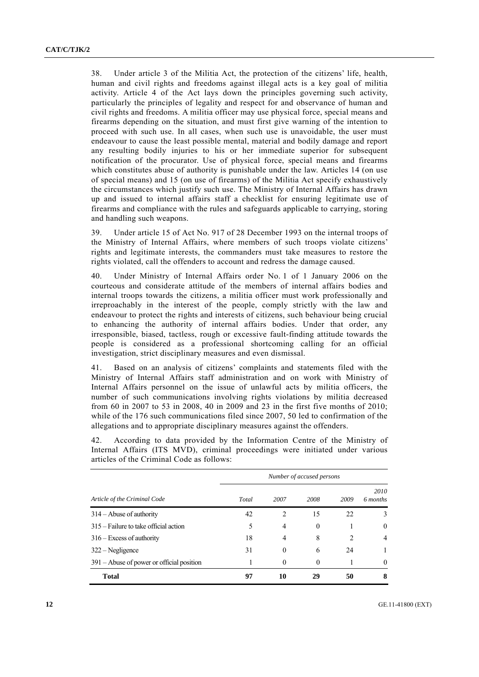38. Under article 3 of the Militia Act, the protection of the citizens' life, health, human and civil rights and freedoms against illegal acts is a key goal of militia activity. Article 4 of the Act lays down the principles governing such activity, particularly the principles of legality and respect for and observance of human and civil rights and freedoms. A militia officer may use physical force, special means and firearms depending on the situation, and must first give warning of the intention to proceed with such use. In all cases, when such use is unavoidable, the user must endeavour to cause the least possible mental, material and bodily damage and report any resulting bodily injuries to his or her immediate superior for subsequent notification of the procurator. Use of physical force, special means and firearms which constitutes abuse of authority is punishable under the law. Articles 14 (on use of special means) and 15 (on use of firearms) of the Militia Act specify exhaustively the circumstances which justify such use. The Ministry of Internal Affairs has drawn up and issued to internal affairs staff a checklist for ensuring legitimate use of firearms and compliance with the rules and safeguards applicable to carrying, storing and handling such weapons.

39. Under article 15 of Act No. 917 of 28 December 1993 on the internal troops of the Ministry of Internal Affairs, where members of such troops violate citizens' rights and legitimate interests, the commanders must take measures to restore the rights violated, call the offenders to account and redress the damage caused.

40. Under Ministry of Internal Affairs order No. 1 of 1 January 2006 on the courteous and considerate attitude of the members of internal affairs bodies and internal troops towards the citizens, a militia officer must work professionally and irreproachably in the interest of the people, comply strictly with the law and endeavour to protect the rights and interests of citizens, such behaviour being crucial to enhancing the authority of internal affairs bodies. Under that order, any irresponsible, biased, tactless, rough or excessive fault-finding attitude towards the people is considered as a professional shortcoming calling for an official investigation, strict disciplinary measures and even dismissal.

41. Based on an analysis of citizens' complaints and statements filed with the Ministry of Internal Affairs staff administration and on work with Ministry of Internal Affairs personnel on the issue of unlawful acts by militia officers, the number of such communications involving rights violations by militia decreased from 60 in 2007 to 53 in 2008, 40 in 2009 and 23 in the first five months of 2010; while of the 176 such communications filed since 2007, 50 led to confirmation of the allegations and to appropriate disciplinary measures against the offenders.

42. According to data provided by the Information Centre of the Ministry of Internal Affairs (ITS MVD), criminal proceedings were initiated under various articles of the Criminal Code as follows:

|                                             | Number of accused persons |                |          |      |                  |
|---------------------------------------------|---------------------------|----------------|----------|------|------------------|
| Article of the Criminal Code                | Total                     | 2007           | 2008     | 2009 | 2010<br>6 months |
| $314 -$ Abuse of authority                  | 42                        | $\overline{c}$ | 15       | 22   | 3                |
| 315 – Failure to take official action       | 5                         | 4              | $\Omega$ |      | $\theta$         |
| $316 - Excess$ of authority                 | 18                        | 4              | 8        | 2    | 4                |
| $322 - Negligence$                          | 31                        | $\theta$       | 6        | 24   |                  |
| $391 -$ Abuse of power or official position |                           | $\theta$       | $\Omega$ |      | $\theta$         |
| <b>Total</b>                                | 97                        | 10             | 29       | 50   | 8                |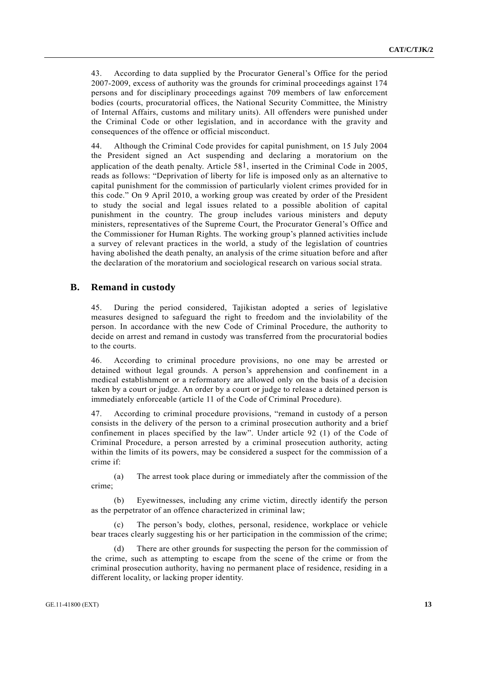43. According to data supplied by the Procurator General's Office for the period 2007-2009, excess of authority was the grounds for criminal proceedings against 174 persons and for disciplinary proceedings against 709 members of law enforcement bodies (courts, procuratorial offices, the National Security Committee, the Ministry of Internal Affairs, customs and military units). All offenders were punished under the Criminal Code or other legislation, and in accordance with the gravity and consequences of the offence or official misconduct.

44. Although the Criminal Code provides for capital punishment, on 15 July 2004 the President signed an Act suspending and declaring a moratorium on the application of the death penalty. Article  $58<sup>1</sup>$ , inserted in the Criminal Code in 2005, reads as follows: "Deprivation of liberty for life is imposed only as an alternative to capital punishment for the commission of particularly violent crimes provided for in this code." On 9 April 2010, a working group was created by order of the President to study the social and legal issues related to a possible abolition of capital punishment in the country. The group includes various ministers and deputy ministers, representatives of the Supreme Court, the Procurator General's Office and the Commissioner for Human Rights. The working group's planned activities include a survey of relevant practices in the world, a study of the legislation of countries having abolished the death penalty, an analysis of the crime situation before and after the declaration of the moratorium and sociological research on various social strata.

#### **B. Remand in custody**

45. During the period considered, Tajikistan adopted a series of legislative measures designed to safeguard the right to freedom and the inviolability of the person. In accordance with the new Code of Criminal Procedure, the authority to decide on arrest and remand in custody was transferred from the procuratorial bodies to the courts.

46. According to criminal procedure provisions, no one may be arrested or detained without legal grounds. A person's apprehension and confinement in a medical establishment or a reformatory are allowed only on the basis of a decision taken by a court or judge. An order by a court or judge to release a detained person is immediately enforceable (article 11 of the Code of Criminal Procedure).

47. According to criminal procedure provisions, "remand in custody of a person consists in the delivery of the person to a criminal prosecution authority and a brief confinement in places specified by the law". Under article 92 (1) of the Code of Criminal Procedure, a person arrested by a criminal prosecution authority, acting within the limits of its powers, may be considered a suspect for the commission of a crime if:

 (a) The arrest took place during or immediately after the commission of the crime;

Eyewitnesses, including any crime victim, directly identify the person as the perpetrator of an offence characterized in criminal law;

 (c) The person's body, clothes, personal, residence, workplace or vehicle bear traces clearly suggesting his or her participation in the commission of the crime;

There are other grounds for suspecting the person for the commission of the crime, such as attempting to escape from the scene of the crime or from the criminal prosecution authority, having no permanent place of residence, residing in a different locality, or lacking proper identity.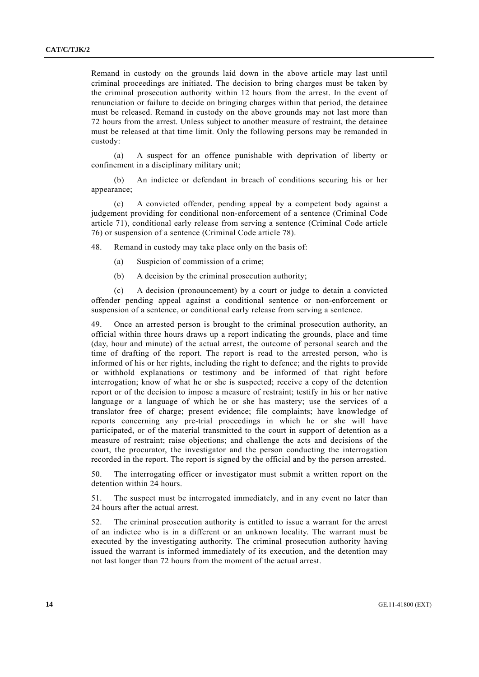Remand in custody on the grounds laid down in the above article may last until criminal proceedings are initiated. The decision to bring charges must be taken by the criminal prosecution authority within 12 hours from the arrest. In the event of renunciation or failure to decide on bringing charges within that period, the detainee must be released. Remand in custody on the above grounds may not last more than 72 hours from the arrest. Unless subject to another measure of restraint, the detainee must be released at that time limit. Only the following persons may be remanded in custody:

 (a) A suspect for an offence punishable with deprivation of liberty or confinement in a disciplinary military unit;

 (b) An indictee or defendant in breach of conditions securing his or her appearance;

 (c) A convicted offender, pending appeal by a competent body against a judgement providing for conditional non-enforcement of a sentence (Criminal Code article 71), conditional early release from serving a sentence (Criminal Code article 76) or suspension of a sentence (Criminal Code article 78).

48. Remand in custody may take place only on the basis of:

- (a) Suspicion of commission of a crime;
- (b) A decision by the criminal prosecution authority;

 (c) A decision (pronouncement) by a court or judge to detain a convicted offender pending appeal against a conditional sentence or non-enforcement or suspension of a sentence, or conditional early release from serving a sentence.

49. Once an arrested person is brought to the criminal prosecution authority, an official within three hours draws up a report indicating the grounds, place and time (day, hour and minute) of the actual arrest, the outcome of personal search and the time of drafting of the report. The report is read to the arrested person, who is informed of his or her rights, including the right to defence; and the rights to provide or withhold explanations or testimony and be informed of that right before interrogation; know of what he or she is suspected; receive a copy of the detention report or of the decision to impose a measure of restraint; testify in his or her native language or a language of which he or she has mastery; use the services of a translator free of charge; present evidence; file complaints; have knowledge of reports concerning any pre-trial proceedings in which he or she will have participated, or of the material transmitted to the court in support of detention as a measure of restraint; raise objections; and challenge the acts and decisions of the court, the procurator, the investigator and the person conducting the interrogation recorded in the report. The report is signed by the official and by the person arrested.

50. The interrogating officer or investigator must submit a written report on the detention within 24 hours.

51. The suspect must be interrogated immediately, and in any event no later than 24 hours after the actual arrest.

52. The criminal prosecution authority is entitled to issue a warrant for the arrest of an indictee who is in a different or an unknown locality. The warrant must be executed by the investigating authority. The criminal prosecution authority having issued the warrant is informed immediately of its execution, and the detention may not last longer than 72 hours from the moment of the actual arrest.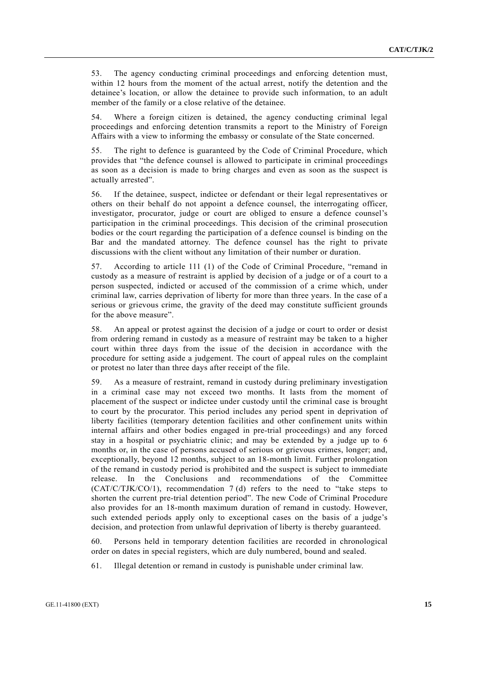53. The agency conducting criminal proceedings and enforcing detention must, within 12 hours from the moment of the actual arrest, notify the detention and the detainee's location, or allow the detainee to provide such information, to an adult member of the family or a close relative of the detainee.

54. Where a foreign citizen is detained, the agency conducting criminal legal proceedings and enforcing detention transmits a report to the Ministry of Foreign Affairs with a view to informing the embassy or consulate of the State concerned.

55. The right to defence is guaranteed by the Code of Criminal Procedure, which provides that "the defence counsel is allowed to participate in criminal proceedings as soon as a decision is made to bring charges and even as soon as the suspect is actually arrested".

56. If the detainee, suspect, indictee or defendant or their legal representatives or others on their behalf do not appoint a defence counsel, the interrogating officer, investigator, procurator, judge or court are obliged to ensure a defence counsel's participation in the criminal proceedings. This decision of the criminal prosecution bodies or the court regarding the participation of a defence counsel is binding on the Bar and the mandated attorney. The defence counsel has the right to private discussions with the client without any limitation of their number or duration.

57. According to article 111 (1) of the Code of Criminal Procedure, "remand in custody as a measure of restraint is applied by decision of a judge or of a court to a person suspected, indicted or accused of the commission of a crime which, under criminal law, carries deprivation of liberty for more than three years. In the case of a serious or grievous crime, the gravity of the deed may constitute sufficient grounds for the above measure".

58. An appeal or protest against the decision of a judge or court to order or desist from ordering remand in custody as a measure of restraint may be taken to a higher court within three days from the issue of the decision in accordance with the procedure for setting aside a judgement. The court of appeal rules on the complaint or protest no later than three days after receipt of the file.

59. As a measure of restraint, remand in custody during preliminary investigation in a criminal case may not exceed two months. It lasts from the moment of placement of the suspect or indictee under custody until the criminal case is brought to court by the procurator. This period includes any period spent in deprivation of liberty facilities (temporary detention facilities and other confinement units within internal affairs and other bodies engaged in pre-trial proceedings) and any forced stay in a hospital or psychiatric clinic; and may be extended by a judge up to 6 months or, in the case of persons accused of serious or grievous crimes, longer; and, exceptionally, beyond 12 months, subject to an 18-month limit. Further prolongation of the remand in custody period is prohibited and the suspect is subject to immediate release. In the Conclusions and recommendations of the Committee  $(CAT/C/TJK/CO/1)$ , recommendation 7 (d) refers to the need to "take steps to shorten the current pre-trial detention period". The new Code of Criminal Procedure also provides for an 18-month maximum duration of remand in custody. However, such extended periods apply only to exceptional cases on the basis of a judge's decision, and protection from unlawful deprivation of liberty is thereby guaranteed.

60. Persons held in temporary detention facilities are recorded in chronological order on dates in special registers, which are duly numbered, bound and sealed.

61. Illegal detention or remand in custody is punishable under criminal law.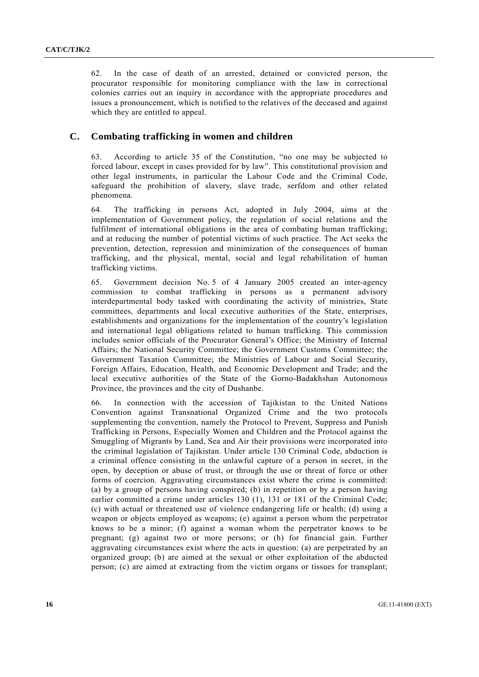62. In the case of death of an arrested, detained or convicted person, the procurator responsible for monitoring compliance with the law in correctional colonies carries out an inquiry in accordance with the appropriate procedures and issues a pronouncement, which is notified to the relatives of the deceased and against which they are entitled to appeal.

#### **C. Combating trafficking in women and children**

63. According to article 35 of the Constitution, "no one may be subjected to forced labour, except in cases provided for by law". This constitutional provision and other legal instruments, in particular the Labour Code and the Criminal Code, safeguard the prohibition of slavery, slave trade, serfdom and other related phenomena.

64. The trafficking in persons Act, adopted in July 2004, aims at the implementation of Government policy, the regulation of social relations and the fulfilment of international obligations in the area of combating human trafficking; and at reducing the number of potential victims of such practice. The Act seeks the prevention, detection, repression and minimization of the consequences of human trafficking, and the physical, mental, social and legal rehabilitation of human trafficking victims.

65. Government decision No. 5 of 4 January 2005 created an inter-agency commission to combat trafficking in persons as a permanent advisory interdepartmental body tasked with coordinating the activity of ministries, State committees, departments and local executive authorities of the State, enterprises, establishments and organizations for the implementation of the country's legislation and international legal obligations related to human trafficking. This commission includes senior officials of the Procurator General's Office; the Ministry of Internal Affairs; the National Security Committee; the Government Customs Committee; the Government Taxation Committee; the Ministries of Labour and Social Security, Foreign Affairs, Education, Health, and Economic Development and Trade; and the local executive authorities of the State of the Gorno-Badakhshan Autonomous Province, the provinces and the city of Dushanbe.

66. In connection with the accession of Tajikistan to the United Nations Convention against Transnational Organized Crime and the two protocols supplementing the convention, namely the Protocol to Prevent, Suppress and Punish Trafficking in Persons, Especially Women and Children and the Protocol against the Smuggling of Migrants by Land, Sea and Air their provisions were incorporated into the criminal legislation of Tajikistan. Under article 130 Criminal Code, abduction is a criminal offence consisting in the unlawful capture of a person in secret, in the open, by deception or abuse of trust, or through the use or threat of force or other forms of coercion. Aggravating circumstances exist where the crime is committed: (a) by a group of persons having conspired; (b) in repetition or by a person having earlier committed a crime under articles 130 (1), 131 or 181 of the Criminal Code; (c) with actual or threatened use of violence endangering life or health; (d) using a weapon or objects employed as weapons; (e) against a person whom the perpetrator knows to be a minor; (f) against a woman whom the perpetrator knows to be pregnant; (g) against two or more persons; or (h) for financial gain. Further aggravating circumstances exist where the acts in question: (a) are perpetrated by an organized group; (b) are aimed at the sexual or other exploitation of the abducted person; (c) are aimed at extracting from the victim organs or tissues for transplant;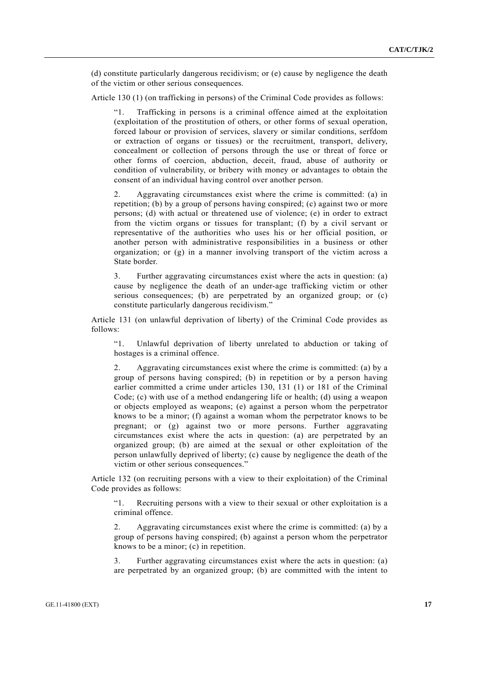(d) constitute particularly dangerous recidivism; or (e) cause by negligence the death of the victim or other serious consequences.

Article 130 (1) (on trafficking in persons) of the Criminal Code provides as follows:

 "1. Trafficking in persons is a criminal offence aimed at the exploitation (exploitation of the prostitution of others, or other forms of sexual operation, forced labour or provision of services, slavery or similar conditions, serfdom or extraction of organs or tissues) or the recruitment, transport, delivery, concealment or collection of persons through the use or threat of force or other forms of coercion, abduction, deceit, fraud, abuse of authority or condition of vulnerability, or bribery with money or advantages to obtain the consent of an individual having control over another person.

 2. Aggravating circumstances exist where the crime is committed: (a) in repetition; (b) by a group of persons having conspired; (c) against two or more persons; (d) with actual or threatened use of violence; (e) in order to extract from the victim organs or tissues for transplant; (f) by a civil servant or representative of the authorities who uses his or her official position, or another person with administrative responsibilities in a business or other organization; or  $(g)$  in a manner involving transport of the victim across a State border.

 3. Further aggravating circumstances exist where the acts in question: (a) cause by negligence the death of an under-age trafficking victim or other serious consequences; (b) are perpetrated by an organized group; or (c) constitute particularly dangerous recidivism."

Article 131 (on unlawful deprivation of liberty) of the Criminal Code provides as follows:

 "1. Unlawful deprivation of liberty unrelated to abduction or taking of hostages is a criminal offence.

 2. Aggravating circumstances exist where the crime is committed: (a) by a group of persons having conspired; (b) in repetition or by a person having earlier committed a crime under articles 130, 131 (1) or 181 of the Criminal Code; (c) with use of a method endangering life or health; (d) using a weapon or objects employed as weapons; (e) against a person whom the perpetrator knows to be a minor; (f) against a woman whom the perpetrator knows to be pregnant; or (g) against two or more persons. Further aggravating circumstances exist where the acts in question: (a) are perpetrated by an organized group; (b) are aimed at the sexual or other exploitation of the person unlawfully deprived of liberty; (c) cause by negligence the death of the victim or other serious consequences."

Article 132 (on recruiting persons with a view to their exploitation) of the Criminal Code provides as follows:

 "1. Recruiting persons with a view to their sexual or other exploitation is a criminal offence.

 2. Aggravating circumstances exist where the crime is committed: (a) by a group of persons having conspired; (b) against a person whom the perpetrator knows to be a minor; (c) in repetition.

 3. Further aggravating circumstances exist where the acts in question: (a) are perpetrated by an organized group; (b) are committed with the intent to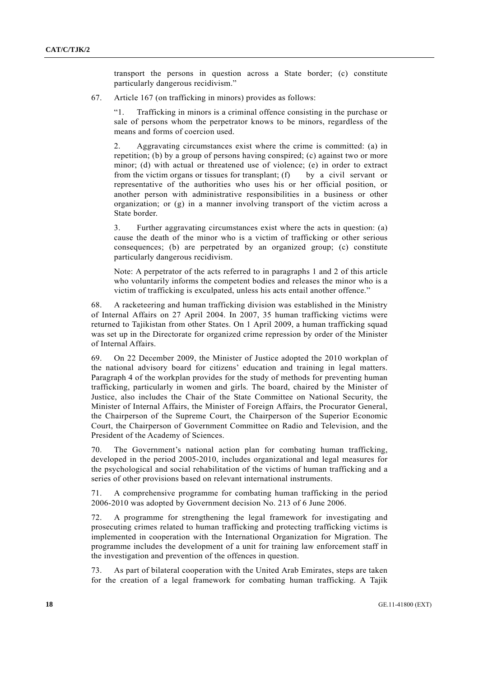transport the persons in question across a State border; (c) constitute particularly dangerous recidivism."

67. Article 167 (on trafficking in minors) provides as follows:

 "1. Trafficking in minors is a criminal offence consisting in the purchase or sale of persons whom the perpetrator knows to be minors, regardless of the means and forms of coercion used.

 2. Aggravating circumstances exist where the crime is committed: (a) in repetition; (b) by a group of persons having conspired; (c) against two or more minor; (d) with actual or threatened use of violence; (e) in order to extract from the victim organs or tissues for transplant; (f) by a civil servant or representative of the authorities who uses his or her official position, or another person with administrative responsibilities in a business or other organization; or (g) in a manner involving transport of the victim across a State border.

 3. Further aggravating circumstances exist where the acts in question: (a) cause the death of the minor who is a victim of trafficking or other serious consequences; (b) are perpetrated by an organized group; (c) constitute particularly dangerous recidivism.

Note: A perpetrator of the acts referred to in paragraphs 1 and 2 of this article who voluntarily informs the competent bodies and releases the minor who is a victim of trafficking is exculpated, unless his acts entail another offence."

68. A racketeering and human trafficking division was established in the Ministry of Internal Affairs on 27 April 2004. In 2007, 35 human trafficking victims were returned to Tajikistan from other States. On 1 April 2009, a human trafficking squad was set up in the Directorate for organized crime repression by order of the Minister of Internal Affairs.

69. On 22 December 2009, the Minister of Justice adopted the 2010 workplan of the national advisory board for citizens' education and training in legal matters. Paragraph 4 of the workplan provides for the study of methods for preventing human trafficking, particularly in women and girls. The board, chaired by the Minister of Justice, also includes the Chair of the State Committee on National Security, the Minister of Internal Affairs, the Minister of Foreign Affairs, the Procurator General, the Chairperson of the Supreme Court, the Chairperson of the Superior Economic Court, the Chairperson of Government Committee on Radio and Television, and the President of the Academy of Sciences.

70. The Government's national action plan for combating human trafficking, developed in the period 2005-2010, includes organizational and legal measures for the psychological and social rehabilitation of the victims of human trafficking and a series of other provisions based on relevant international instruments.

71. A comprehensive programme for combating human trafficking in the period 2006-2010 was adopted by Government decision No. 213 of 6 June 2006.

72. A programme for strengthening the legal framework for investigating and prosecuting crimes related to human trafficking and protecting trafficking victims is implemented in cooperation with the International Organization for Migration. The programme includes the development of a unit for training law enforcement staff in the investigation and prevention of the offences in question.

73. As part of bilateral cooperation with the United Arab Emirates, steps are taken for the creation of a legal framework for combating human trafficking. A Tajik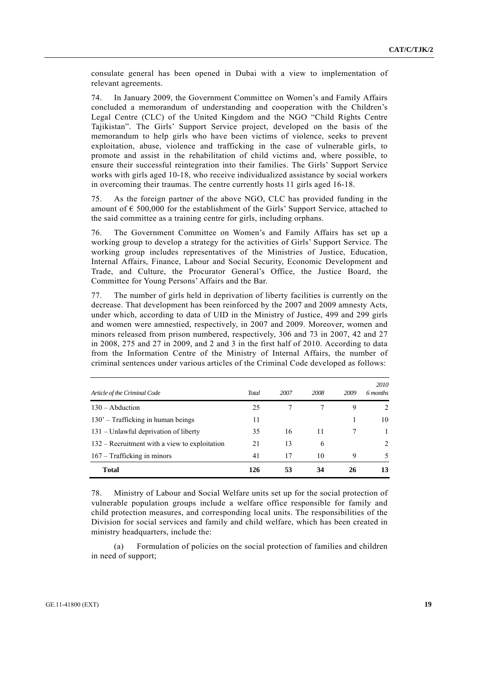consulate general has been opened in Dubai with a view to implementation of relevant agreements.

74. In January 2009, the Government Committee on Women's and Family Affairs concluded a memorandum of understanding and cooperation with the Children's Legal Centre (CLC) of the United Kingdom and the NGO "Child Rights Centre Tajikistan". The Girls' Support Service project, developed on the basis of the memorandum to help girls who have been victims of violence, seeks to prevent exploitation, abuse, violence and trafficking in the case of vulnerable girls, to promote and assist in the rehabilitation of child victims and, where possible, to ensure their successful reintegration into their families. The Girls' Support Service works with girls aged 10-18, who receive individualized assistance by social workers in overcoming their traumas. The centre currently hosts 11 girls aged 16-18.

75. As the foreign partner of the above NGO, CLC has provided funding in the amount of  $\epsilon$  500,000 for the establishment of the Girls' Support Service, attached to the said committee as a training centre for girls, including orphans.

76. The Government Committee on Women's and Family Affairs has set up a working group to develop a strategy for the activities of Girls' Support Service. The working group includes representatives of the Ministries of Justice, Education, Internal Affairs, Finance, Labour and Social Security, Economic Development and Trade, and Culture, the Procurator General's Office, the Justice Board, the Committee for Young Persons' Affairs and the Bar.

77. The number of girls held in deprivation of liberty facilities is currently on the decrease. That development has been reinforced by the 2007 and 2009 amnesty Acts, under which, according to data of UID in the Ministry of Justice, 499 and 299 girls and women were amnestied, respectively, in 2007 and 2009. Moreover, women and minors released from prison numbered, respectively, 306 and 73 in 2007, 42 and 27 in 2008, 275 and 27 in 2009, and 2 and 3 in the first half of 2010. According to data from the Information Centre of the Ministry of Internal Affairs, the number of criminal sentences under various articles of the Criminal Code developed as follows:

| Article of the Criminal Code                    | <b>Total</b> | 2007 | 2008 | 2009 | 2010<br>6 months |
|-------------------------------------------------|--------------|------|------|------|------------------|
| $130 -$ Abduction                               | 25           |      |      | 9    | $\mathfrak{D}$   |
| $130'$ – Trafficking in human beings            | 11           |      |      |      | 10               |
| 131 – Unlawful deprivation of liberty           | 35           | 16   | 11   |      | 1                |
| $132$ – Recruitment with a view to exploitation | 21           | 13   | 6    |      | $\mathfrak{D}$   |
| 167 - Trafficking in minors                     | 41           | 17   | 10   | 9    | 5.               |
| <b>Total</b>                                    | 126          | 53   | 34   | 26   | 13               |

78. Ministry of Labour and Social Welfare units set up for the social protection of vulnerable population groups include a welfare office responsible for family and child protection measures, and corresponding local units. The responsibilities of the Division for social services and family and child welfare, which has been created in ministry headquarters, include the:

 (a) Formulation of policies on the social protection of families and children in need of support;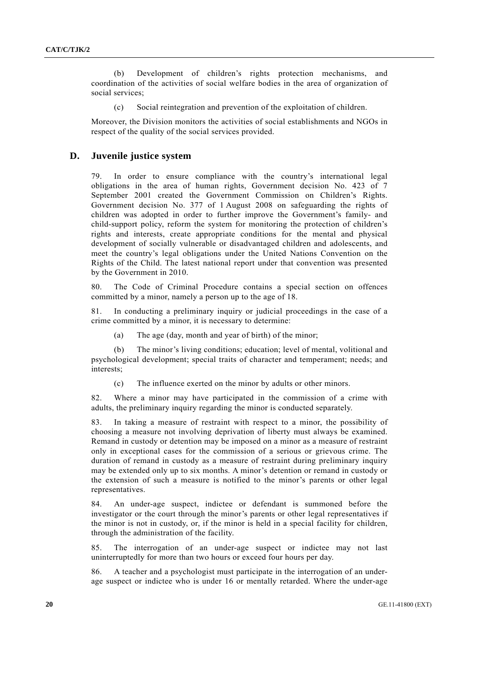(b) Development of children's rights protection mechanisms, and coordination of the activities of social welfare bodies in the area of organization of social services;

(c) Social reintegration and prevention of the exploitation of children.

Moreover, the Division monitors the activities of social establishments and NGOs in respect of the quality of the social services provided.

#### **D. Juvenile justice system**

In order to ensure compliance with the country's international legal obligations in the area of human rights, Government decision No. 423 of 7 September 2001 created the Government Commission on Children's Rights. Government decision No. 377 of 1 August 2008 on safeguarding the rights of children was adopted in order to further improve the Government's family- and child-support policy, reform the system for monitoring the protection of children's rights and interests, create appropriate conditions for the mental and physical development of socially vulnerable or disadvantaged children and adolescents, and meet the country's legal obligations under the United Nations Convention on the Rights of the Child. The latest national report under that convention was presented by the Government in 2010.

80. The Code of Criminal Procedure contains a special section on offences committed by a minor, namely a person up to the age of 18.

81. In conducting a preliminary inquiry or judicial proceedings in the case of a crime committed by a minor, it is necessary to determine:

(a) The age (day, month and year of birth) of the minor;

 (b) The minor's living conditions; education; level of mental, volitional and psychological development; special traits of character and temperament; needs; and interests;

(c) The influence exerted on the minor by adults or other minors.

82. Where a minor may have participated in the commission of a crime with adults, the preliminary inquiry regarding the minor is conducted separately.

83. In taking a measure of restraint with respect to a minor, the possibility of choosing a measure not involving deprivation of liberty must always be examined. Remand in custody or detention may be imposed on a minor as a measure of restraint only in exceptional cases for the commission of a serious or grievous crime. The duration of remand in custody as a measure of restraint during preliminary inquiry may be extended only up to six months. A minor's detention or remand in custody or the extension of such a measure is notified to the minor's parents or other legal representatives.

84. An under-age suspect, indictee or defendant is summoned before the investigator or the court through the minor's parents or other legal representatives if the minor is not in custody, or, if the minor is held in a special facility for children, through the administration of the facility.

85. The interrogation of an under-age suspect or indictee may not last uninterruptedly for more than two hours or exceed four hours per day.

86. A teacher and a psychologist must participate in the interrogation of an underage suspect or indictee who is under 16 or mentally retarded. Where the under-age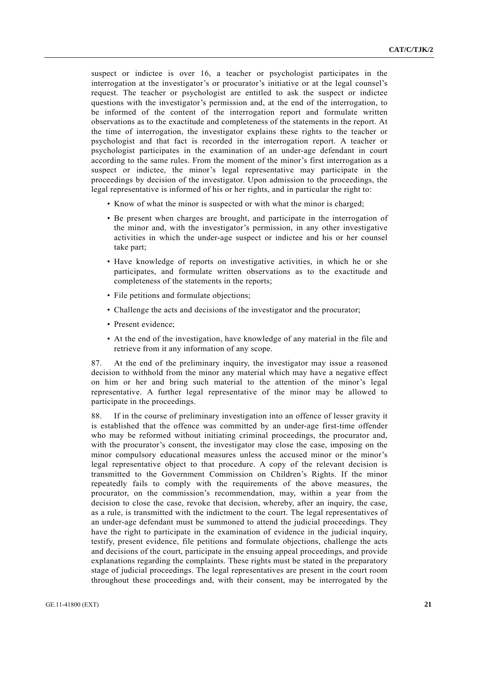suspect or indictee is over 16, a teacher or psychologist participates in the interrogation at the investigator's or procurator's initiative or at the legal counsel's request. The teacher or psychologist are entitled to ask the suspect or indictee questions with the investigator's permission and, at the end of the interrogation, to be informed of the content of the interrogation report and formulate written observations as to the exactitude and completeness of the statements in the report. At the time of interrogation, the investigator explains these rights to the teacher or psychologist and that fact is recorded in the interrogation report. A teacher or psychologist participates in the examination of an under-age defendant in court according to the same rules. From the moment of the minor's first interrogation as a suspect or indictee, the minor's legal representative may participate in the proceedings by decision of the investigator. Upon admission to the proceedings, the legal representative is informed of his or her rights, and in particular the right to:

- Know of what the minor is suspected or with what the minor is charged;
- Be present when charges are brought, and participate in the interrogation of the minor and, with the investigator's permission, in any other investigative activities in which the under-age suspect or indictee and his or her counsel take part;
- Have knowledge of reports on investigative activities, in which he or she participates, and formulate written observations as to the exactitude and completeness of the statements in the reports;
- File petitions and formulate objections;
- Challenge the acts and decisions of the investigator and the procurator;
- Present evidence;
- At the end of the investigation, have knowledge of any material in the file and retrieve from it any information of any scope.

87. At the end of the preliminary inquiry, the investigator may issue a reasoned decision to withhold from the minor any material which may have a negative effect on him or her and bring such material to the attention of the minor's legal representative. A further legal representative of the minor may be allowed to participate in the proceedings.

88. If in the course of preliminary investigation into an offence of lesser gravity it is established that the offence was committed by an under-age first-time offender who may be reformed without initiating criminal proceedings, the procurator and, with the procurator's consent, the investigator may close the case, imposing on the minor compulsory educational measures unless the accused minor or the minor's legal representative object to that procedure. A copy of the relevant decision is transmitted to the Government Commission on Children's Rights. If the minor repeatedly fails to comply with the requirements of the above measures, the procurator, on the commission's recommendation, may, within a year from the decision to close the case, revoke that decision, whereby, after an inquiry, the case, as a rule, is transmitted with the indictment to the court. The legal representatives of an under-age defendant must be summoned to attend the judicial proceedings. They have the right to participate in the examination of evidence in the judicial inquiry, testify, present evidence, file petitions and formulate objections, challenge the acts and decisions of the court, participate in the ensuing appeal proceedings, and provide explanations regarding the complaints. These rights must be stated in the preparatory stage of judicial proceedings. The legal representatives are present in the court room throughout these proceedings and, with their consent, may be interrogated by the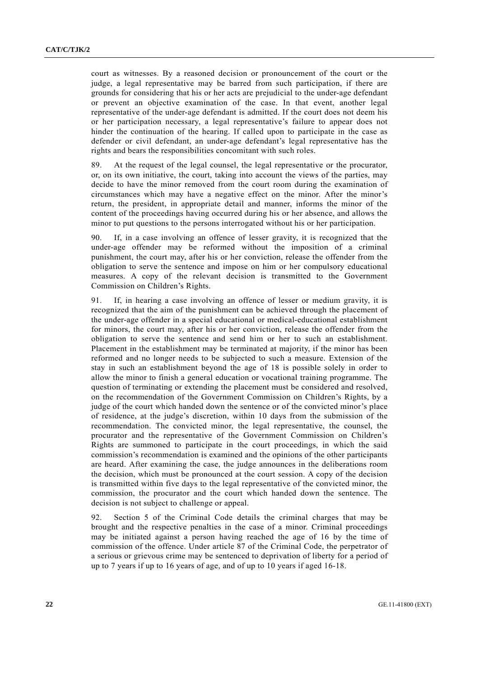court as witnesses. By a reasoned decision or pronouncement of the court or the judge, a legal representative may be barred from such participation, if there are grounds for considering that his or her acts are prejudicial to the under-age defendant or prevent an objective examination of the case. In that event, another legal representative of the under-age defendant is admitted. If the court does not deem his or her participation necessary, a legal representative's failure to appear does not hinder the continuation of the hearing. If called upon to participate in the case as defender or civil defendant, an under-age defendant's legal representative has the rights and bears the responsibilities concomitant with such roles.

89. At the request of the legal counsel, the legal representative or the procurator, or, on its own initiative, the court, taking into account the views of the parties, may decide to have the minor removed from the court room during the examination of circumstances which may have a negative effect on the minor. After the minor's return, the president, in appropriate detail and manner, informs the minor of the content of the proceedings having occurred during his or her absence, and allows the minor to put questions to the persons interrogated without his or her participation.

90. If, in a case involving an offence of lesser gravity, it is recognized that the under-age offender may be reformed without the imposition of a criminal punishment, the court may, after his or her conviction, release the offender from the obligation to serve the sentence and impose on him or her compulsory educational measures. A copy of the relevant decision is transmitted to the Government Commission on Children's Rights.

91. If, in hearing a case involving an offence of lesser or medium gravity, it is recognized that the aim of the punishment can be achieved through the placement of the under-age offender in a special educational or medical-educational establishment for minors, the court may, after his or her conviction, release the offender from the obligation to serve the sentence and send him or her to such an establishment. Placement in the establishment may be terminated at majority, if the minor has been reformed and no longer needs to be subjected to such a measure. Extension of the stay in such an establishment beyond the age of 18 is possible solely in order to allow the minor to finish a general education or vocational training programme. The question of terminating or extending the placement must be considered and resolved, on the recommendation of the Government Commission on Children's Rights, by a judge of the court which handed down the sentence or of the convicted minor's place of residence, at the judge's discretion, within 10 days from the submission of the recommendation. The convicted minor, the legal representative, the counsel, the procurator and the representative of the Government Commission on Children's Rights are summoned to participate in the court proceedings, in which the said commission's recommendation is examined and the opinions of the other participants are heard. After examining the case, the judge announces in the deliberations room the decision, which must be pronounced at the court session. A copy of the decision is transmitted within five days to the legal representative of the convicted minor, the commission, the procurator and the court which handed down the sentence. The decision is not subject to challenge or appeal.

92. Section 5 of the Criminal Code details the criminal charges that may be brought and the respective penalties in the case of a minor. Criminal proceedings may be initiated against a person having reached the age of 16 by the time of commission of the offence. Under article 87 of the Criminal Code, the perpetrator of a serious or grievous crime may be sentenced to deprivation of liberty for a period of up to 7 years if up to 16 years of age, and of up to 10 years if aged 16-18.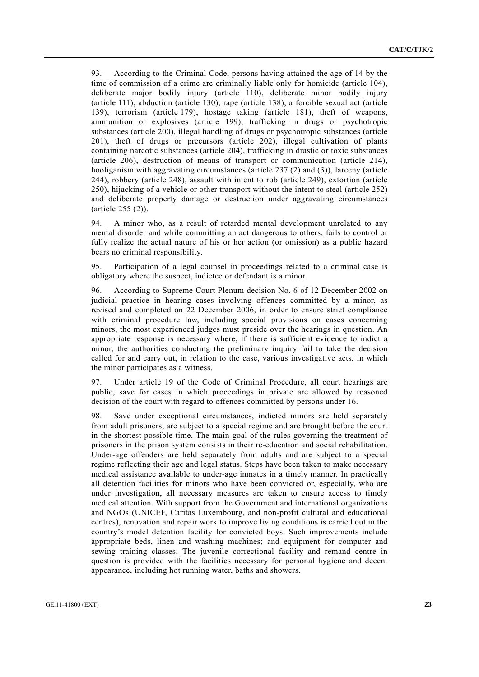93. According to the Criminal Code, persons having attained the age of 14 by the time of commission of a crime are criminally liable only for homicide (article 104), deliberate major bodily injury (article 110), deliberate minor bodily injury (article 111), abduction (article 130), rape (article 138), a forcible sexual act (article 139), terrorism (article 179), hostage taking (article 181), theft of weapons, ammunition or explosives (article 199), trafficking in drugs or psychotropic substances (article 200), illegal handling of drugs or psychotropic substances (article 201), theft of drugs or precursors (article 202), illegal cultivation of plants containing narcotic substances (article 204), trafficking in drastic or toxic substances (article 206), destruction of means of transport or communication (article 214), hooliganism with aggravating circumstances (article 237 (2) and (3)), larceny (article 244), robbery (article 248), assault with intent to rob (article 249), extortion (article 250), hijacking of a vehicle or other transport without the intent to steal (article 252) and deliberate property damage or destruction under aggravating circumstances (article 255 (2)).

94. A minor who, as a result of retarded mental development unrelated to any mental disorder and while committing an act dangerous to others, fails to control or fully realize the actual nature of his or her action (or omission) as a public hazard bears no criminal responsibility.

95. Participation of a legal counsel in proceedings related to a criminal case is obligatory where the suspect, indictee or defendant is a minor.

96. According to Supreme Court Plenum decision No. 6 of 12 December 2002 on judicial practice in hearing cases involving offences committed by a minor, as revised and completed on 22 December 2006, in order to ensure strict compliance with criminal procedure law, including special provisions on cases concerning minors, the most experienced judges must preside over the hearings in question. An appropriate response is necessary where, if there is sufficient evidence to indict a minor, the authorities conducting the preliminary inquiry fail to take the decision called for and carry out, in relation to the case, various investigative acts, in which the minor participates as a witness.

97. Under article 19 of the Code of Criminal Procedure, all court hearings are public, save for cases in which proceedings in private are allowed by reasoned decision of the court with regard to offences committed by persons under 16.

98. Save under exceptional circumstances, indicted minors are held separately from adult prisoners, are subject to a special regime and are brought before the court in the shortest possible time. The main goal of the rules governing the treatment of prisoners in the prison system consists in their re-education and social rehabilitation. Under-age offenders are held separately from adults and are subject to a special regime reflecting their age and legal status. Steps have been taken to make necessary medical assistance available to under-age inmates in a timely manner. In practically all detention facilities for minors who have been convicted or, especially, who are under investigation, all necessary measures are taken to ensure access to timely medical attention. With support from the Government and international organizations and NGOs (UNICEF, Caritas Luxembourg, and non-profit cultural and educational centres), renovation and repair work to improve living conditions is carried out in the country's model detention facility for convicted boys. Such improvements include appropriate beds, linen and washing machines; and equipment for computer and sewing training classes. The juvenile correctional facility and remand centre in question is provided with the facilities necessary for personal hygiene and decent appearance, including hot running water, baths and showers.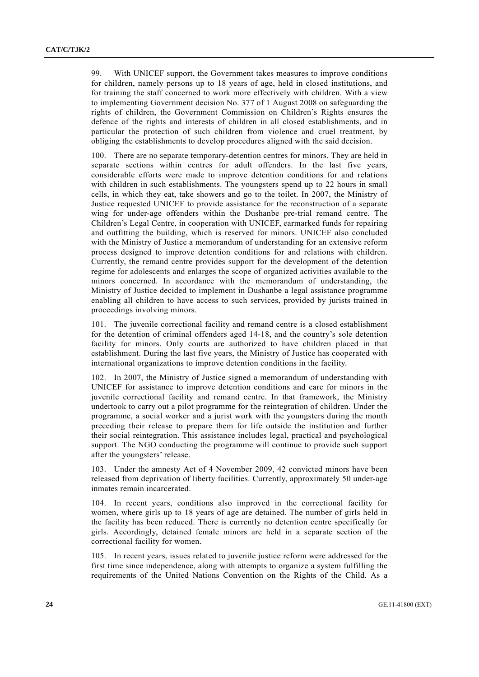99. With UNICEF support, the Government takes measures to improve conditions for children, namely persons up to 18 years of age, held in closed institutions, and for training the staff concerned to work more effectively with children. With a view to implementing Government decision No. 377 of 1 August 2008 on safeguarding the rights of children, the Government Commission on Children's Rights ensures the defence of the rights and interests of children in all closed establishments, and in particular the protection of such children from violence and cruel treatment, by obliging the establishments to develop procedures aligned with the said decision.

100. There are no separate temporary-detention centres for minors. They are held in separate sections within centres for adult offenders. In the last five years, considerable efforts were made to improve detention conditions for and relations with children in such establishments. The youngsters spend up to 22 hours in small cells, in which they eat, take showers and go to the toilet. In 2007, the Ministry of Justice requested UNICEF to provide assistance for the reconstruction of a separate wing for under-age offenders within the Dushanbe pre-trial remand centre. The Children's Legal Centre, in cooperation with UNICEF, earmarked funds for repairing and outfitting the building, which is reserved for minors. UNICEF also concluded with the Ministry of Justice a memorandum of understanding for an extensive reform process designed to improve detention conditions for and relations with children. Currently, the remand centre provides support for the development of the detention regime for adolescents and enlarges the scope of organized activities available to the minors concerned. In accordance with the memorandum of understanding, the Ministry of Justice decided to implement in Dushanbe a legal assistance programme enabling all children to have access to such services, provided by jurists trained in proceedings involving minors.

101. The juvenile correctional facility and remand centre is a closed establishment for the detention of criminal offenders aged 14-18, and the country's sole detention facility for minors. Only courts are authorized to have children placed in that establishment. During the last five years, the Ministry of Justice has cooperated with international organizations to improve detention conditions in the facility.

102. In 2007, the Ministry of Justice signed a memorandum of understanding with UNICEF for assistance to improve detention conditions and care for minors in the juvenile correctional facility and remand centre. In that framework, the Ministry undertook to carry out a pilot programme for the reintegration of children. Under the programme, a social worker and a jurist work with the youngsters during the month preceding their release to prepare them for life outside the institution and further their social reintegration. This assistance includes legal, practical and psychological support. The NGO conducting the programme will continue to provide such support after the youngsters' release.

103. Under the amnesty Act of 4 November 2009, 42 convicted minors have been released from deprivation of liberty facilities. Currently, approximately 50 under-age inmates remain incarcerated.

104. In recent years, conditions also improved in the correctional facility for women, where girls up to 18 years of age are detained. The number of girls held in the facility has been reduced. There is currently no detention centre specifically for girls. Accordingly, detained female minors are held in a separate section of the correctional facility for women.

105. In recent years, issues related to juvenile justice reform were addressed for the first time since independence, along with attempts to organize a system fulfilling the requirements of the United Nations Convention on the Rights of the Child. As a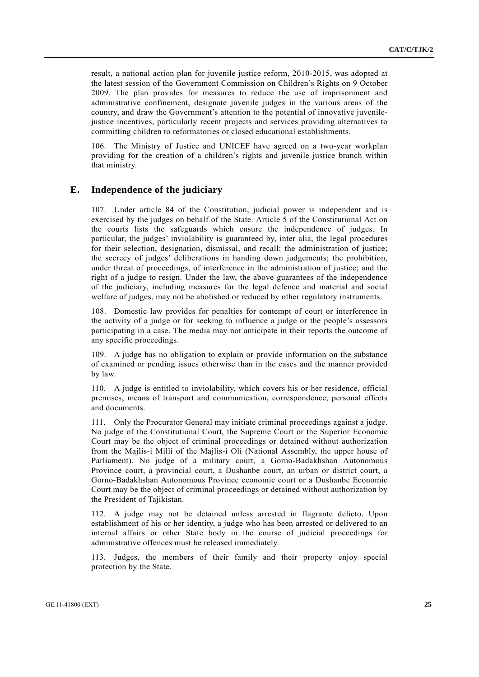result, a national action plan for juvenile justice reform, 2010-2015, was adopted at the latest session of the Government Commission on Children's Rights on 9 October 2009. The plan provides for measures to reduce the use of imprisonment and administrative confinement, designate juvenile judges in the various areas of the country, and draw the Government's attention to the potential of innovative juvenilejustice incentives, particularly recent projects and services providing alternatives to committing children to reformatories or closed educational establishments.

106. The Ministry of Justice and UNICEF have agreed on a two-year workplan providing for the creation of a children's rights and juvenile justice branch within that ministry.

### **E. Independence of the judiciary**

107. Under article 84 of the Constitution, judicial power is independent and is exercised by the judges on behalf of the State. Article 5 of the Constitutional Act on the courts lists the safeguards which ensure the independence of judges. In particular, the judges' inviolability is guaranteed by, inter alia, the legal procedures for their selection, designation, dismissal, and recall; the administration of justice; the secrecy of judges' deliberations in handing down judgements; the prohibition, under threat of proceedings, of interference in the administration of justice; and the right of a judge to resign. Under the law, the above guarantees of the independence of the judiciary, including measures for the legal defence and material and social welfare of judges, may not be abolished or reduced by other regulatory instruments.

108. Domestic law provides for penalties for contempt of court or interference in the activity of a judge or for seeking to influence a judge or the people's assessors participating in a case. The media may not anticipate in their reports the outcome of any specific proceedings.

109. A judge has no obligation to explain or provide information on the substance of examined or pending issues otherwise than in the cases and the manner provided by law.

110. A judge is entitled to inviolability, which covers his or her residence, official premises, means of transport and communication, correspondence, personal effects and documents.

111. Only the Procurator General may initiate criminal proceedings against a judge. No judge of the Constitutional Court, the Supreme Court or the Superior Economic Court may be the object of criminal proceedings or detained without authorization from the Majlis-i Milli of the Majlis-i Oli (National Assembly, the upper house of Parliament). No judge of a military court, a Gorno-Badakhshan Autonomous Province court, a provincial court, a Dushanbe court, an urban or district court, a Gorno-Badakhshan Autonomous Province economic court or a Dushanbe Economic Court may be the object of criminal proceedings or detained without authorization by the President of Tajikistan.

112. A judge may not be detained unless arrested in flagrante delicto. Upon establishment of his or her identity, a judge who has been arrested or delivered to an internal affairs or other State body in the course of judicial proceedings for administrative offences must be released immediately.

113. Judges, the members of their family and their property enjoy special protection by the State.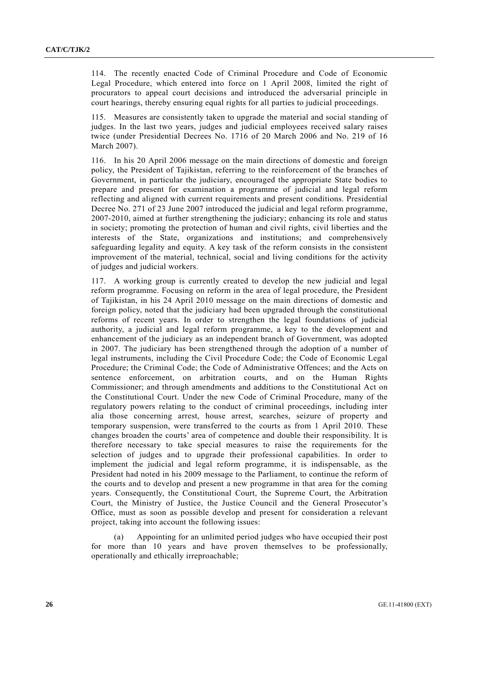114. The recently enacted Code of Criminal Procedure and Code of Economic Legal Procedure, which entered into force on 1 April 2008, limited the right of procurators to appeal court decisions and introduced the adversarial principle in court hearings, thereby ensuring equal rights for all parties to judicial proceedings.

115. Measures are consistently taken to upgrade the material and social standing of judges. In the last two years, judges and judicial employees received salary raises twice (under Presidential Decrees No. 1716 of 20 March 2006 and No. 219 of 16 March 2007).

116. In his 20 April 2006 message on the main directions of domestic and foreign policy, the President of Tajikistan, referring to the reinforcement of the branches of Government, in particular the judiciary, encouraged the appropriate State bodies to prepare and present for examination a programme of judicial and legal reform reflecting and aligned with current requirements and present conditions. Presidential Decree No. 271 of 23 June 2007 introduced the judicial and legal reform programme, 2007-2010, aimed at further strengthening the judiciary; enhancing its role and status in society; promoting the protection of human and civil rights, civil liberties and the interests of the State, organizations and institutions; and comprehensively safeguarding legality and equity. A key task of the reform consists in the consistent improvement of the material, technical, social and living conditions for the activity of judges and judicial workers.

117. A working group is currently created to develop the new judicial and legal reform programme. Focusing on reform in the area of legal procedure, the President of Tajikistan, in his 24 April 2010 message on the main directions of domestic and foreign policy, noted that the judiciary had been upgraded through the constitutional reforms of recent years. In order to strengthen the legal foundations of judicial authority, a judicial and legal reform programme, a key to the development and enhancement of the judiciary as an independent branch of Government, was adopted in 2007. The judiciary has been strengthened through the adoption of a number of legal instruments, including the Civil Procedure Code; the Code of Economic Legal Procedure; the Criminal Code; the Code of Administrative Offences; and the Acts on sentence enforcement, on arbitration courts, and on the Human Rights Commissioner; and through amendments and additions to the Constitutional Act on the Constitutional Court. Under the new Code of Criminal Procedure, many of the regulatory powers relating to the conduct of criminal proceedings, including inter alia those concerning arrest, house arrest, searches, seizure of property and temporary suspension, were transferred to the courts as from 1 April 2010. These changes broaden the courts' area of competence and double their responsibility. It is therefore necessary to take special measures to raise the requirements for the selection of judges and to upgrade their professional capabilities. In order to implement the judicial and legal reform programme, it is indispensable, as the President had noted in his 2009 message to the Parliament, to continue the reform of the courts and to develop and present a new programme in that area for the coming years. Consequently, the Constitutional Court, the Supreme Court, the Arbitration Court, the Ministry of Justice, the Justice Council and the General Prosecutor's Office, must as soon as possible develop and present for consideration a relevant project, taking into account the following issues:

 (a) Appointing for an unlimited period judges who have occupied their post for more than 10 years and have proven themselves to be professionally, operationally and ethically irreproachable;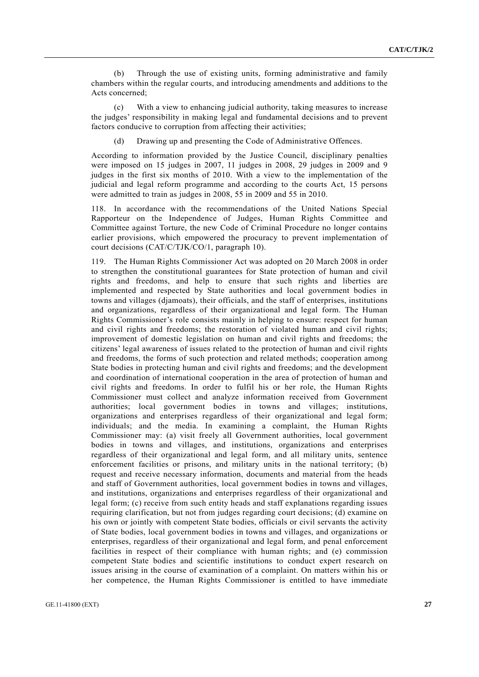(b) Through the use of existing units, forming administrative and family chambers within the regular courts, and introducing amendments and additions to the Acts concerned;

 (c) With a view to enhancing judicial authority, taking measures to increase the judges' responsibility in making legal and fundamental decisions and to prevent factors conducive to corruption from affecting their activities;

(d) Drawing up and presenting the Code of Administrative Offences.

According to information provided by the Justice Council, disciplinary penalties were imposed on 15 judges in 2007, 11 judges in 2008, 29 judges in 2009 and 9 judges in the first six months of 2010. With a view to the implementation of the judicial and legal reform programme and according to the courts Act, 15 persons were admitted to train as judges in 2008, 55 in 2009 and 55 in 2010.

118. In accordance with the recommendations of the United Nations Special Rapporteur on the Independence of Judges, Human Rights Committee and Committee against Torture, the new Code of Criminal Procedure no longer contains earlier provisions, which empowered the procuracy to prevent implementation of court decisions (CAT/C/TJK/CO/1, paragraph 10).

119. The Human Rights Commissioner Act was adopted on 20 March 2008 in order to strengthen the constitutional guarantees for State protection of human and civil rights and freedoms, and help to ensure that such rights and liberties are implemented and respected by State authorities and local government bodies in towns and villages (djamoats), their officials, and the staff of enterprises, institutions and organizations, regardless of their organizational and legal form. The Human Rights Commissioner's role consists mainly in helping to ensure: respect for human and civil rights and freedoms; the restoration of violated human and civil rights; improvement of domestic legislation on human and civil rights and freedoms; the citizens' legal awareness of issues related to the protection of human and civil rights and freedoms, the forms of such protection and related methods; cooperation among State bodies in protecting human and civil rights and freedoms; and the development and coordination of international cooperation in the area of protection of human and civil rights and freedoms. In order to fulfil his or her role, the Human Rights Commissioner must collect and analyze information received from Government authorities; local government bodies in towns and villages; institutions, organizations and enterprises regardless of their organizational and legal form; individuals; and the media. In examining a complaint, the Human Rights Commissioner may: (a) visit freely all Government authorities, local government bodies in towns and villages, and institutions, organizations and enterprises regardless of their organizational and legal form, and all military units, sentence enforcement facilities or prisons, and military units in the national territory; (b) request and receive necessary information, documents and material from the heads and staff of Government authorities, local government bodies in towns and villages, and institutions, organizations and enterprises regardless of their organizational and legal form; (c) receive from such entity heads and staff explanations regarding issues requiring clarification, but not from judges regarding court decisions; (d) examine on his own or jointly with competent State bodies, officials or civil servants the activity of State bodies, local government bodies in towns and villages, and organizations or enterprises, regardless of their organizational and legal form, and penal enforcement facilities in respect of their compliance with human rights; and (e) commission competent State bodies and scientific institutions to conduct expert research on issues arising in the course of examination of a complaint. On matters within his or her competence, the Human Rights Commissioner is entitled to have immediate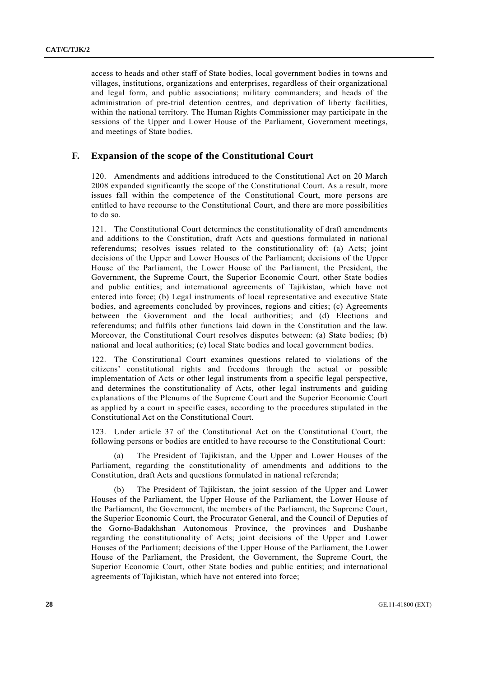access to heads and other staff of State bodies, local government bodies in towns and villages, institutions, organizations and enterprises, regardless of their organizational and legal form, and public associations; military commanders; and heads of the administration of pre-trial detention centres, and deprivation of liberty facilities, within the national territory. The Human Rights Commissioner may participate in the sessions of the Upper and Lower House of the Parliament, Government meetings, and meetings of State bodies.

### **F. Expansion of the scope of the Constitutional Court**

120. Amendments and additions introduced to the Constitutional Act on 20 March 2008 expanded significantly the scope of the Constitutional Court. As a result, more issues fall within the competence of the Constitutional Court, more persons are entitled to have recourse to the Constitutional Court, and there are more possibilities to do so.

121. The Constitutional Court determines the constitutionality of draft amendments and additions to the Constitution, draft Acts and questions formulated in national referendums; resolves issues related to the constitutionality of: (a) Acts; joint decisions of the Upper and Lower Houses of the Parliament; decisions of the Upper House of the Parliament, the Lower House of the Parliament, the President, the Government, the Supreme Court, the Superior Economic Court, other State bodies and public entities; and international agreements of Tajikistan, which have not entered into force; (b) Legal instruments of local representative and executive State bodies, and agreements concluded by provinces, regions and cities; (c) Agreements between the Government and the local authorities; and (d) Elections and referendums; and fulfils other functions laid down in the Constitution and the law. Moreover, the Constitutional Court resolves disputes between: (a) State bodies; (b) national and local authorities; (c) local State bodies and local government bodies.

122. The Constitutional Court examines questions related to violations of the citizens' constitutional rights and freedoms through the actual or possible implementation of Acts or other legal instruments from a specific legal perspective, and determines the constitutionality of Acts, other legal instruments and guiding explanations of the Plenums of the Supreme Court and the Superior Economic Court as applied by a court in specific cases, according to the procedures stipulated in the Constitutional Act on the Constitutional Court.

123. Under article 37 of the Constitutional Act on the Constitutional Court, the following persons or bodies are entitled to have recourse to the Constitutional Court:

 (a) The President of Tajikistan, and the Upper and Lower Houses of the Parliament, regarding the constitutionality of amendments and additions to the Constitution, draft Acts and questions formulated in national referenda;

 (b) The President of Tajikistan, the joint session of the Upper and Lower Houses of the Parliament, the Upper House of the Parliament, the Lower House of the Parliament, the Government, the members of the Parliament, the Supreme Court, the Superior Economic Court, the Procurator General, and the Council of Deputies of the Gorno-Badakhshan Autonomous Province, the provinces and Dushanbe regarding the constitutionality of Acts; joint decisions of the Upper and Lower Houses of the Parliament; decisions of the Upper House of the Parliament, the Lower House of the Parliament, the President, the Government, the Supreme Court, the Superior Economic Court, other State bodies and public entities; and international agreements of Tajikistan, which have not entered into force;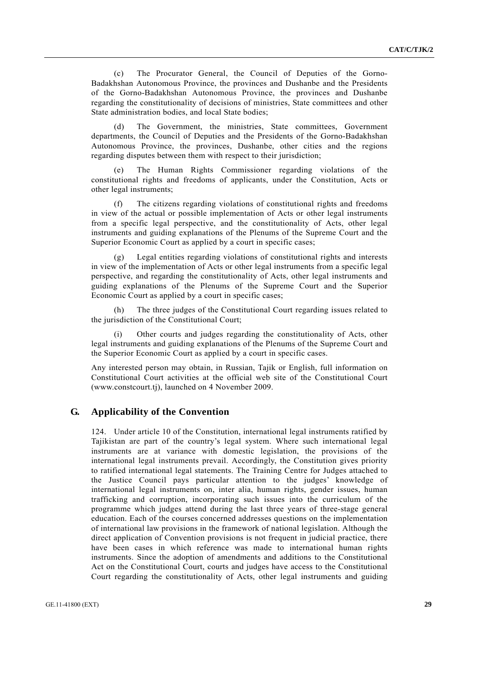(c) The Procurator General, the Council of Deputies of the Gorno-Badakhshan Autonomous Province, the provinces and Dushanbe and the Presidents of the Gorno-Badakhshan Autonomous Province, the provinces and Dushanbe regarding the constitutionality of decisions of ministries, State committees and other State administration bodies, and local State bodies;

 (d) The Government, the ministries, State committees, Government departments, the Council of Deputies and the Presidents of the Gorno-Badakhshan Autonomous Province, the provinces, Dushanbe, other cities and the regions regarding disputes between them with respect to their jurisdiction;

The Human Rights Commissioner regarding violations of the constitutional rights and freedoms of applicants, under the Constitution, Acts or other legal instruments;

 (f) The citizens regarding violations of constitutional rights and freedoms in view of the actual or possible implementation of Acts or other legal instruments from a specific legal perspective, and the constitutionality of Acts, other legal instruments and guiding explanations of the Plenums of the Supreme Court and the Superior Economic Court as applied by a court in specific cases;

 (g) Legal entities regarding violations of constitutional rights and interests in view of the implementation of Acts or other legal instruments from a specific legal perspective, and regarding the constitutionality of Acts, other legal instruments and guiding explanations of the Plenums of the Supreme Court and the Superior Economic Court as applied by a court in specific cases;

 (h) The three judges of the Constitutional Court regarding issues related to the jurisdiction of the Constitutional Court;

 (i) Other courts and judges regarding the constitutionality of Acts, other legal instruments and guiding explanations of the Plenums of the Supreme Court and the Superior Economic Court as applied by a court in specific cases.

Any interested person may obtain, in Russian, Tajik or English, full information on Constitutional Court activities at the official web site of the Constitutional Court (www.constcourt.tj), launched on 4 November 2009.

### **G. Applicability of the Convention**

124. Under article 10 of the Constitution, international legal instruments ratified by Tajikistan are part of the country's legal system. Where such international legal instruments are at variance with domestic legislation, the provisions of the international legal instruments prevail. Accordingly, the Constitution gives priority to ratified international legal statements. The Training Centre for Judges attached to the Justice Council pays particular attention to the judges' knowledge of international legal instruments on, inter alia, human rights, gender issues, human trafficking and corruption, incorporating such issues into the curriculum of the programme which judges attend during the last three years of three-stage general education. Each of the courses concerned addresses questions on the implementation of international law provisions in the framework of national legislation. Although the direct application of Convention provisions is not frequent in judicial practice, there have been cases in which reference was made to international human rights instruments. Since the adoption of amendments and additions to the Constitutional Act on the Constitutional Court, courts and judges have access to the Constitutional Court regarding the constitutionality of Acts, other legal instruments and guiding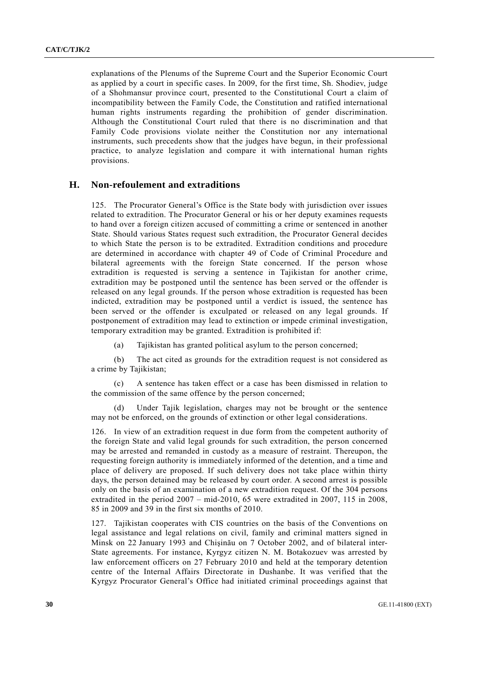explanations of the Plenums of the Supreme Court and the Superior Economic Court as applied by a court in specific cases. In 2009, for the first time, Sh. Shodiev, judge of a Shohmansur province court, presented to the Constitutional Court a claim of incompatibility between the Family Code, the Constitution and ratified international human rights instruments regarding the prohibition of gender discrimination. Although the Constitutional Court ruled that there is no discrimination and that Family Code provisions violate neither the Constitution nor any international instruments, such precedents show that the judges have begun, in their professional practice, to analyze legislation and compare it with international human rights provisions.

#### **H. Non-refoulement and extraditions**

125. The Procurator General's Office is the State body with jurisdiction over issues related to extradition. The Procurator General or his or her deputy examines requests to hand over a foreign citizen accused of committing a crime or sentenced in another State. Should various States request such extradition, the Procurator General decides to which State the person is to be extradited. Extradition conditions and procedure are determined in accordance with chapter 49 of Code of Criminal Procedure and bilateral agreements with the foreign State concerned. If the person whose extradition is requested is serving a sentence in Tajikistan for another crime, extradition may be postponed until the sentence has been served or the offender is released on any legal grounds. If the person whose extradition is requested has been indicted, extradition may be postponed until a verdict is issued, the sentence has been served or the offender is exculpated or released on any legal grounds. If postponement of extradition may lead to extinction or impede criminal investigation, temporary extradition may be granted. Extradition is prohibited if:

(a) Tajikistan has granted political asylum to the person concerned;

 (b) The act cited as grounds for the extradition request is not considered as a crime by Tajikistan;

 (c) A sentence has taken effect or a case has been dismissed in relation to the commission of the same offence by the person concerned;

 (d) Under Tajik legislation, charges may not be brought or the sentence may not be enforced, on the grounds of extinction or other legal considerations.

126. In view of an extradition request in due form from the competent authority of the foreign State and valid legal grounds for such extradition, the person concerned may be arrested and remanded in custody as a measure of restraint. Thereupon, the requesting foreign authority is immediately informed of the detention, and a time and place of delivery are proposed. If such delivery does not take place within thirty days, the person detained may be released by court order. A second arrest is possible only on the basis of an examination of a new extradition request. Of the 304 persons extradited in the period 2007 – mid-2010, 65 were extradited in 2007, 115 in 2008, 85 in 2009 and 39 in the first six months of 2010.

127. Tajikistan cooperates with CIS countries on the basis of the Conventions on legal assistance and legal relations on civil, family and criminal matters signed in Minsk on 22 January 1993 and Chişinău on 7 October 2002, and of bilateral inter-State agreements. For instance, Kyrgyz citizen N. M. Botakozuev was arrested by law enforcement officers on 27 February 2010 and held at the temporary detention centre of the Internal Affairs Directorate in Dushanbe. It was verified that the Kyrgyz Procurator General's Office had initiated criminal proceedings against that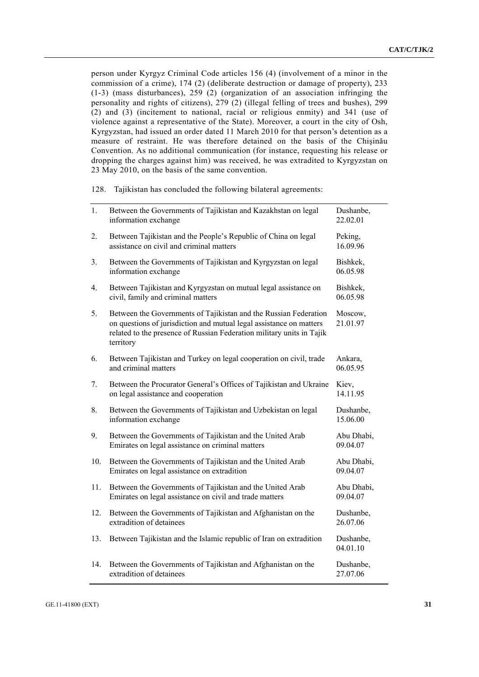person under Kyrgyz Criminal Code articles 156 (4) (involvement of a minor in the commission of a crime), 174 (2) (deliberate destruction or damage of property), 233 (1-3) (mass disturbances), 259 (2) (organization of an association infringing the personality and rights of citizens), 279 (2) (illegal felling of trees and bushes), 299 (2) and (3) (incitement to national, racial or religious enmity) and 341 (use of violence against a representative of the State). Moreover, a court in the city of Osh, Kyrgyzstan, had issued an order dated 11 March 2010 for that person's detention as a measure of restraint. He was therefore detained on the basis of the Chişinău Convention. As no additional communication (for instance, requesting his release or dropping the charges against him) was received, he was extradited to Kyrgyzstan on 23 May 2010, on the basis of the same convention.

128. Tajikistan has concluded the following bilateral agreements:

| 1.  | Between the Governments of Tajikistan and Kazakhstan on legal<br>information exchange                                                                                                                                         | Dushanbe,<br>22.02.01  |
|-----|-------------------------------------------------------------------------------------------------------------------------------------------------------------------------------------------------------------------------------|------------------------|
| 2.  | Between Tajikistan and the People's Republic of China on legal<br>assistance on civil and criminal matters                                                                                                                    | Peking,<br>16.09.96    |
| 3.  | Between the Governments of Tajikistan and Kyrgyzstan on legal<br>information exchange                                                                                                                                         | Bishkek,<br>06.05.98   |
| 4.  | Between Tajikistan and Kyrgyzstan on mutual legal assistance on<br>civil, family and criminal matters                                                                                                                         | Bishkek,<br>06.05.98   |
| 5.  | Between the Governments of Tajikistan and the Russian Federation<br>on questions of jurisdiction and mutual legal assistance on matters<br>related to the presence of Russian Federation military units in Tajik<br>territory | Moscow,<br>21.01.97    |
| 6.  | Between Tajikistan and Turkey on legal cooperation on civil, trade<br>and criminal matters                                                                                                                                    | Ankara,<br>06.05.95    |
| 7.  | Between the Procurator General's Offices of Tajikistan and Ukraine<br>on legal assistance and cooperation                                                                                                                     | Kiev,<br>14.11.95      |
| 8.  | Between the Governments of Tajikistan and Uzbekistan on legal<br>information exchange                                                                                                                                         | Dushanbe,<br>15.06.00  |
| 9.  | Between the Governments of Tajikistan and the United Arab<br>Emirates on legal assistance on criminal matters                                                                                                                 | Abu Dhabi,<br>09.04.07 |
| 10. | Between the Governments of Tajikistan and the United Arab<br>Emirates on legal assistance on extradition                                                                                                                      | Abu Dhabi,<br>09.04.07 |
| 11. | Between the Governments of Tajikistan and the United Arab<br>Emirates on legal assistance on civil and trade matters                                                                                                          | Abu Dhabi,<br>09.04.07 |
| 12. | Between the Governments of Tajikistan and Afghanistan on the<br>extradition of detainees                                                                                                                                      | Dushanbe,<br>26.07.06  |
| 13. | Between Tajikistan and the Islamic republic of Iran on extradition                                                                                                                                                            | Dushanbe,<br>04.01.10  |
| 14. | Between the Governments of Tajikistan and Afghanistan on the<br>extradition of detainees                                                                                                                                      | Dushanbe,<br>27.07.06  |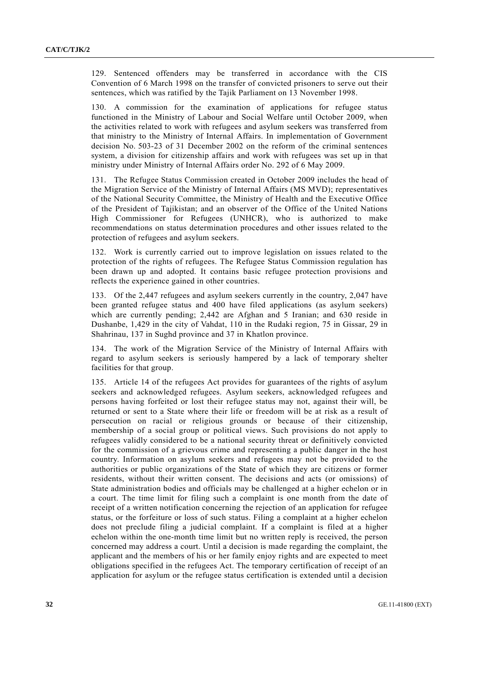129. Sentenced offenders may be transferred in accordance with the CIS Convention of 6 March 1998 on the transfer of convicted prisoners to serve out their sentences, which was ratified by the Tajik Parliament on 13 November 1998.

130. A commission for the examination of applications for refugee status functioned in the Ministry of Labour and Social Welfare until October 2009, when the activities related to work with refugees and asylum seekers was transferred from that ministry to the Ministry of Internal Affairs. In implementation of Government decision No. 503-23 of 31 December 2002 on the reform of the criminal sentences system, a division for citizenship affairs and work with refugees was set up in that ministry under Ministry of Internal Affairs order No. 292 of 6 May 2009.

131. The Refugee Status Commission created in October 2009 includes the head of the Migration Service of the Ministry of Internal Affairs (MS MVD); representatives of the National Security Committee, the Ministry of Health and the Executive Office of the President of Tajikistan; and an observer of the Office of the United Nations High Commissioner for Refugees (UNHCR), who is authorized to make recommendations on status determination procedures and other issues related to the protection of refugees and asylum seekers.

132. Work is currently carried out to improve legislation on issues related to the protection of the rights of refugees. The Refugee Status Commission regulation has been drawn up and adopted. It contains basic refugee protection provisions and reflects the experience gained in other countries.

133. Of the 2,447 refugees and asylum seekers currently in the country, 2,047 have been granted refugee status and 400 have filed applications (as asylum seekers) which are currently pending; 2,442 are Afghan and 5 Iranian; and 630 reside in Dushanbe, 1,429 in the city of Vahdat, 110 in the Rudaki region, 75 in Gissar, 29 in Shahrinau, 137 in Sughd province and 37 in Khatlon province.

134. The work of the Migration Service of the Ministry of Internal Affairs with regard to asylum seekers is seriously hampered by a lack of temporary shelter facilities for that group.

135. Article 14 of the refugees Act provides for guarantees of the rights of asylum seekers and acknowledged refugees. Asylum seekers, acknowledged refugees and persons having forfeited or lost their refugee status may not, against their will, be returned or sent to a State where their life or freedom will be at risk as a result of persecution on racial or religious grounds or because of their citizenship, membership of a social group or political views. Such provisions do not apply to refugees validly considered to be a national security threat or definitively convicted for the commission of a grievous crime and representing a public danger in the host country. Information on asylum seekers and refugees may not be provided to the authorities or public organizations of the State of which they are citizens or former residents, without their written consent. The decisions and acts (or omissions) of State administration bodies and officials may be challenged at a higher echelon or in a court. The time limit for filing such a complaint is one month from the date of receipt of a written notification concerning the rejection of an application for refugee status, or the forfeiture or loss of such status. Filing a complaint at a higher echelon does not preclude filing a judicial complaint. If a complaint is filed at a higher echelon within the one-month time limit but no written reply is received, the person concerned may address a court. Until a decision is made regarding the complaint, the applicant and the members of his or her family enjoy rights and are expected to meet obligations specified in the refugees Act. The temporary certification of receipt of an application for asylum or the refugee status certification is extended until a decision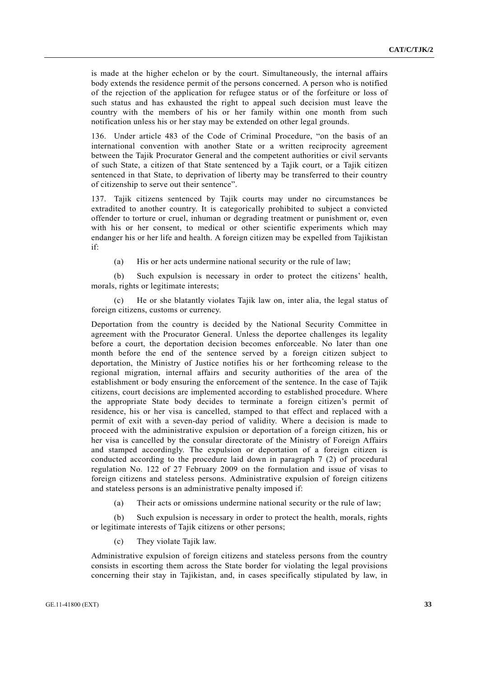is made at the higher echelon or by the court. Simultaneously, the internal affairs body extends the residence permit of the persons concerned. A person who is notified of the rejection of the application for refugee status or of the forfeiture or loss of such status and has exhausted the right to appeal such decision must leave the country with the members of his or her family within one month from such notification unless his or her stay may be extended on other legal grounds.

136. Under article 483 of the Code of Criminal Procedure, "on the basis of an international convention with another State or a written reciprocity agreement between the Tajik Procurator General and the competent authorities or civil servants of such State, a citizen of that State sentenced by a Tajik court, or a Tajik citizen sentenced in that State, to deprivation of liberty may be transferred to their country of citizenship to serve out their sentence".

137. Tajik citizens sentenced by Tajik courts may under no circumstances be extradited to another country. It is categorically prohibited to subject a convicted offender to torture or cruel, inhuman or degrading treatment or punishment or, even with his or her consent, to medical or other scientific experiments which may endanger his or her life and health. A foreign citizen may be expelled from Tajikistan if:

(a) His or her acts undermine national security or the rule of law;

 (b) Such expulsion is necessary in order to protect the citizens' health, morals, rights or legitimate interests;

 (c) He or she blatantly violates Tajik law on, inter alia, the legal status of foreign citizens, customs or currency.

Deportation from the country is decided by the National Security Committee in agreement with the Procurator General. Unless the deportee challenges its legality before a court, the deportation decision becomes enforceable. No later than one month before the end of the sentence served by a foreign citizen subject to deportation, the Ministry of Justice notifies his or her forthcoming release to the regional migration, internal affairs and security authorities of the area of the establishment or body ensuring the enforcement of the sentence. In the case of Tajik citizens, court decisions are implemented according to established procedure. Where the appropriate State body decides to terminate a foreign citizen's permit of residence, his or her visa is cancelled, stamped to that effect and replaced with a permit of exit with a seven-day period of validity. Where a decision is made to proceed with the administrative expulsion or deportation of a foreign citizen, his or her visa is cancelled by the consular directorate of the Ministry of Foreign Affairs and stamped accordingly. The expulsion or deportation of a foreign citizen is conducted according to the procedure laid down in paragraph 7 (2) of procedural regulation No. 122 of 27 February 2009 on the formulation and issue of visas to foreign citizens and stateless persons. Administrative expulsion of foreign citizens and stateless persons is an administrative penalty imposed if:

(a) Their acts or omissions undermine national security or the rule of law;

 (b) Such expulsion is necessary in order to protect the health, morals, rights or legitimate interests of Tajik citizens or other persons;

(c) They violate Tajik law.

Administrative expulsion of foreign citizens and stateless persons from the country consists in escorting them across the State border for violating the legal provisions concerning their stay in Tajikistan, and, in cases specifically stipulated by law, in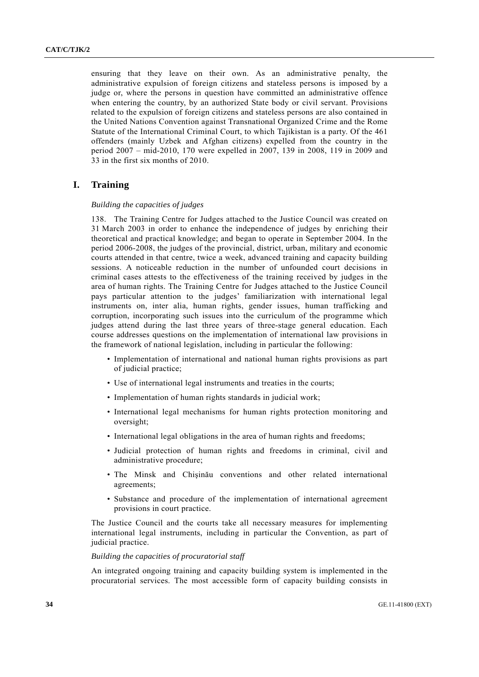ensuring that they leave on their own. As an administrative penalty, the administrative expulsion of foreign citizens and stateless persons is imposed by a judge or, where the persons in question have committed an administrative offence when entering the country, by an authorized State body or civil servant. Provisions related to the expulsion of foreign citizens and stateless persons are also contained in the United Nations Convention against Transnational Organized Crime and the Rome Statute of the International Criminal Court, to which Tajikistan is a party. Of the 461 offenders (mainly Uzbek and Afghan citizens) expelled from the country in the period 2007 – mid-2010, 170 were expelled in 2007, 139 in 2008, 119 in 2009 and 33 in the first six months of 2010.

### **I. Training**

#### *Building the capacities of judges*

138. The Training Centre for Judges attached to the Justice Council was created on 31 March 2003 in order to enhance the independence of judges by enriching their theoretical and practical knowledge; and began to operate in September 2004. In the period 2006-2008, the judges of the provincial, district, urban, military and economic courts attended in that centre, twice a week, advanced training and capacity building sessions. A noticeable reduction in the number of unfounded court decisions in criminal cases attests to the effectiveness of the training received by judges in the area of human rights. The Training Centre for Judges attached to the Justice Council pays particular attention to the judges' familiarization with international legal instruments on, inter alia, human rights, gender issues, human trafficking and corruption, incorporating such issues into the curriculum of the programme which judges attend during the last three years of three-stage general education. Each course addresses questions on the implementation of international law provisions in the framework of national legislation, including in particular the following:

- Implementation of international and national human rights provisions as part of judicial practice;
- Use of international legal instruments and treaties in the courts;
- Implementation of human rights standards in judicial work;
- International legal mechanisms for human rights protection monitoring and oversight;
- International legal obligations in the area of human rights and freedoms;
- Judicial protection of human rights and freedoms in criminal, civil and administrative procedure;
- The Minsk and Chişinău conventions and other related international agreements;
- Substance and procedure of the implementation of international agreement provisions in court practice.

The Justice Council and the courts take all necessary measures for implementing international legal instruments, including in particular the Convention, as part of judicial practice.

#### *Building the capacities of procuratorial staff*

An integrated ongoing training and capacity building system is implemented in the procuratorial services. The most accessible form of capacity building consists in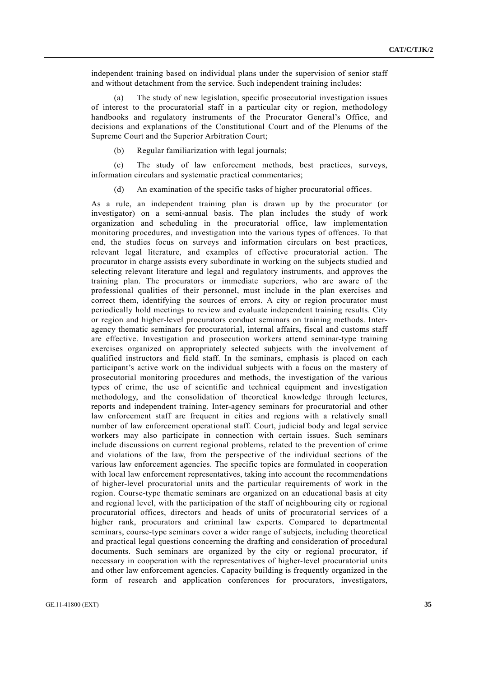independent training based on individual plans under the supervision of senior staff and without detachment from the service. Such independent training includes:

 (a) The study of new legislation, specific prosecutorial investigation issues of interest to the procuratorial staff in a particular city or region, methodology handbooks and regulatory instruments of the Procurator General's Office, and decisions and explanations of the Constitutional Court and of the Plenums of the Supreme Court and the Superior Arbitration Court;

(b) Regular familiarization with legal journals;

 (c) The study of law enforcement methods, best practices, surveys, information circulars and systematic practical commentaries;

(d) An examination of the specific tasks of higher procuratorial offices.

As a rule, an independent training plan is drawn up by the procurator (or investigator) on a semi-annual basis. The plan includes the study of work organization and scheduling in the procuratorial office, law implementation monitoring procedures, and investigation into the various types of offences. To that end, the studies focus on surveys and information circulars on best practices, relevant legal literature, and examples of effective procuratorial action. The procurator in charge assists every subordinate in working on the subjects studied and selecting relevant literature and legal and regulatory instruments, and approves the training plan. The procurators or immediate superiors, who are aware of the professional qualities of their personnel, must include in the plan exercises and correct them, identifying the sources of errors. A city or region procurator must periodically hold meetings to review and evaluate independent training results. City or region and higher-level procurators conduct seminars on training methods. Interagency thematic seminars for procuratorial, internal affairs, fiscal and customs staff are effective. Investigation and prosecution workers attend seminar-type training exercises organized on appropriately selected subjects with the involvement of qualified instructors and field staff. In the seminars, emphasis is placed on each participant's active work on the individual subjects with a focus on the mastery of prosecutorial monitoring procedures and methods, the investigation of the various types of crime, the use of scientific and technical equipment and investigation methodology, and the consolidation of theoretical knowledge through lectures, reports and independent training. Inter-agency seminars for procuratorial and other law enforcement staff are frequent in cities and regions with a relatively small number of law enforcement operational staff. Court, judicial body and legal service workers may also participate in connection with certain issues. Such seminars include discussions on current regional problems, related to the prevention of crime and violations of the law, from the perspective of the individual sections of the various law enforcement agencies. The specific topics are formulated in cooperation with local law enforcement representatives, taking into account the recommendations of higher-level procuratorial units and the particular requirements of work in the region. Course-type thematic seminars are organized on an educational basis at city and regional level, with the participation of the staff of neighbouring city or regional procuratorial offices, directors and heads of units of procuratorial services of a higher rank, procurators and criminal law experts. Compared to departmental seminars, course-type seminars cover a wider range of subjects, including theoretical and practical legal questions concerning the drafting and consideration of procedural documents. Such seminars are organized by the city or regional procurator, if necessary in cooperation with the representatives of higher-level procuratorial units and other law enforcement agencies. Capacity building is frequently organized in the form of research and application conferences for procurators, investigators,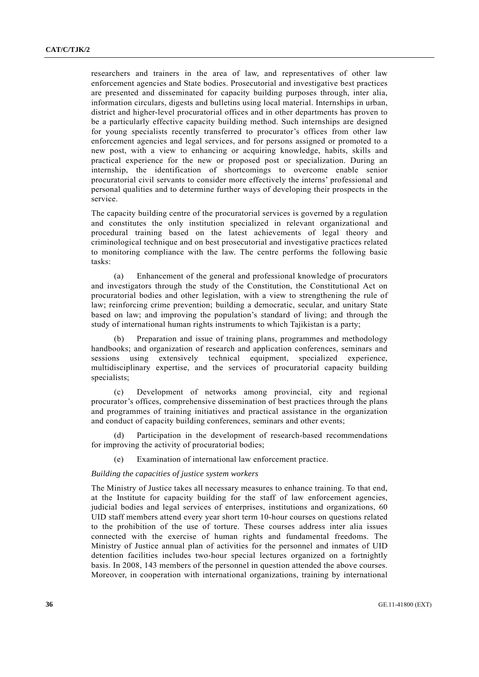researchers and trainers in the area of law, and representatives of other law enforcement agencies and State bodies. Prosecutorial and investigative best practices are presented and disseminated for capacity building purposes through, inter alia, information circulars, digests and bulletins using local material. Internships in urban, district and higher-level procuratorial offices and in other departments has proven to be a particularly effective capacity building method. Such internships are designed for young specialists recently transferred to procurator's offices from other law enforcement agencies and legal services, and for persons assigned or promoted to a new post, with a view to enhancing or acquiring knowledge, habits, skills and practical experience for the new or proposed post or specialization. During an internship, the identification of shortcomings to overcome enable senior procuratorial civil servants to consider more effectively the interns' professional and personal qualities and to determine further ways of developing their prospects in the service.

The capacity building centre of the procuratorial services is governed by a regulation and constitutes the only institution specialized in relevant organizational and procedural training based on the latest achievements of legal theory and criminological technique and on best prosecutorial and investigative practices related to monitoring compliance with the law. The centre performs the following basic tasks:

 (a) Enhancement of the general and professional knowledge of procurators and investigators through the study of the Constitution, the Constitutional Act on procuratorial bodies and other legislation, with a view to strengthening the rule of law; reinforcing crime prevention; building a democratic, secular, and unitary State based on law; and improving the population's standard of living; and through the study of international human rights instruments to which Tajikistan is a party;

 (b) Preparation and issue of training plans, programmes and methodology handbooks; and organization of research and application conferences, seminars and sessions using extensively technical equipment, specialized experience, multidisciplinary expertise, and the services of procuratorial capacity building specialists;

 (c) Development of networks among provincial, city and regional procurator's offices, comprehensive dissemination of best practices through the plans and programmes of training initiatives and practical assistance in the organization and conduct of capacity building conferences, seminars and other events;

 (d) Participation in the development of research-based recommendations for improving the activity of procuratorial bodies;

(e) Examination of international law enforcement practice.

#### *Building the capacities of justice system workers*

The Ministry of Justice takes all necessary measures to enhance training. To that end, at the Institute for capacity building for the staff of law enforcement agencies, judicial bodies and legal services of enterprises, institutions and organizations, 60 UID staff members attend every year short term 10-hour courses on questions related to the prohibition of the use of torture. These courses address inter alia issues connected with the exercise of human rights and fundamental freedoms. The Ministry of Justice annual plan of activities for the personnel and inmates of UID detention facilities includes two-hour special lectures organized on a fortnightly basis. In 2008, 143 members of the personnel in question attended the above courses. Moreover, in cooperation with international organizations, training by international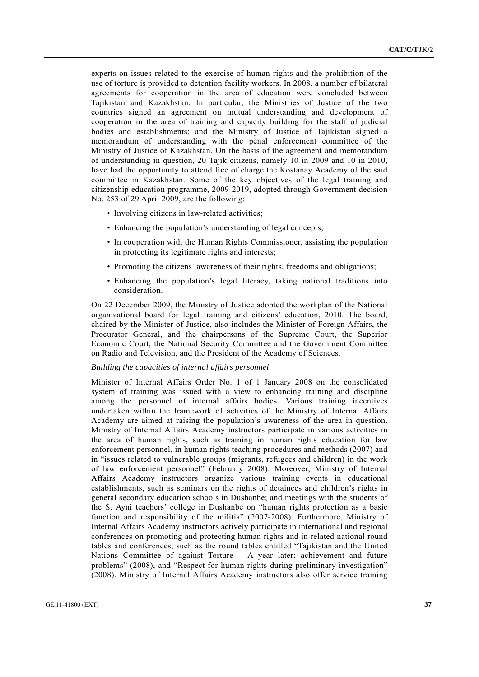experts on issues related to the exercise of human rights and the prohibition of the use of torture is provided to detention facility workers. In 2008, a number of bilateral agreements for cooperation in the area of education were concluded between Tajikistan and Kazakhstan. In particular, the Ministries of Justice of the two countries signed an agreement on mutual understanding and development of cooperation in the area of training and capacity building for the staff of judicial bodies and establishments; and the Ministry of Justice of Tajikistan signed a memorandum of understanding with the penal enforcement committee of the Ministry of Justice of Kazakhstan. On the basis of the agreement and memorandum of understanding in question, 20 Tajik citizens, namely 10 in 2009 and 10 in 2010, have had the opportunity to attend free of charge the Kostanay Academy of the said committee in Kazakhstan. Some of the key objectives of the legal training and citizenship education programme, 2009-2019, adopted through Government decision No. 253 of 29 April 2009, are the following:

- Involving citizens in law-related activities;
- Enhancing the population's understanding of legal concepts;
- In cooperation with the Human Rights Commissioner, assisting the population in protecting its legitimate rights and interests;
- Promoting the citizens' awareness of their rights, freedoms and obligations;
- Enhancing the population's legal literacy, taking national traditions into consideration.

On 22 December 2009, the Ministry of Justice adopted the workplan of the National organizational board for legal training and citizens' education, 2010. The board, chaired by the Minister of Justice, also includes the Minister of Foreign Affairs, the Procurator General, and the chairpersons of the Supreme Court, the Superior Economic Court, the National Security Committee and the Government Committee on Radio and Television, and the President of the Academy of Sciences.

#### *Building the capacities of internal affairs personnel*

Minister of Internal Affairs Order No. 1 of 1 January 2008 on the consolidated system of training was issued with a view to enhancing training and discipline among the personnel of internal affairs bodies. Various training incentives undertaken within the framework of activities of the Ministry of Internal Affairs Academy are aimed at raising the population's awareness of the area in question. Ministry of Internal Affairs Academy instructors participate in various activities in the area of human rights, such as training in human rights education for law enforcement personnel, in human rights teaching procedures and methods (2007) and in "issues related to vulnerable groups (migrants, refugees and children) in the work of law enforcement personnel" (February 2008). Moreover, Ministry of Internal Affairs Academy instructors organize various training events in educational establishments, such as seminars on the rights of detainees and children's rights in general secondary education schools in Dushanbe; and meetings with the students of the S. Ayni teachers' college in Dushanbe on "human rights protection as a basic function and responsibility of the militia" (2007-2008). Furthermore, Ministry of Internal Affairs Academy instructors actively participate in international and regional conferences on promoting and protecting human rights and in related national round tables and conferences, such as the round tables entitled "Tajikistan and the United Nations Committee of against Torture – A year later: achievement and future problems" (2008), and "Respect for human rights during preliminary investigation" (2008). Ministry of Internal Affairs Academy instructors also offer service training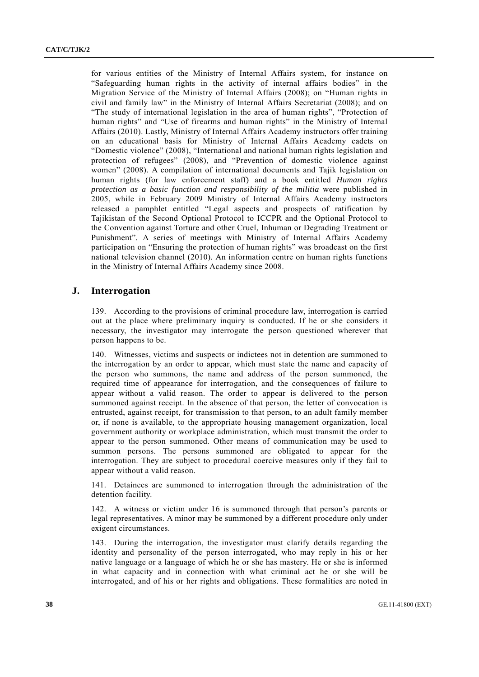for various entities of the Ministry of Internal Affairs system, for instance on "Safeguarding human rights in the activity of internal affairs bodies" in the Migration Service of the Ministry of Internal Affairs (2008); on "Human rights in civil and family law" in the Ministry of Internal Affairs Secretariat (2008); and on "The study of international legislation in the area of human rights", "Protection of human rights" and "Use of firearms and human rights" in the Ministry of Internal Affairs (2010). Lastly, Ministry of Internal Affairs Academy instructors offer training on an educational basis for Ministry of Internal Affairs Academy cadets on "Domestic violence" (2008), "International and national human rights legislation and protection of refugees" (2008), and "Prevention of domestic violence against women" (2008). A compilation of international documents and Tajik legislation on human rights (for law enforcement staff) and a book entitled *Human rights protection as a basic function and responsibility of the militia* were published in 2005, while in February 2009 Ministry of Internal Affairs Academy instructors released a pamphlet entitled "Legal aspects and prospects of ratification by Tajikistan of the Second Optional Protocol to ICCPR and the Optional Protocol to the Convention against Torture and other Cruel, Inhuman or Degrading Treatment or Punishment". A series of meetings with Ministry of Internal Affairs Academy participation on "Ensuring the protection of human rights" was broadcast on the first national television channel (2010). An information centre on human rights functions in the Ministry of Internal Affairs Academy since 2008.

#### **J. Interrogation**

139. According to the provisions of criminal procedure law, interrogation is carried out at the place where preliminary inquiry is conducted. If he or she considers it necessary, the investigator may interrogate the person questioned wherever that person happens to be.

140. Witnesses, victims and suspects or indictees not in detention are summoned to the interrogation by an order to appear, which must state the name and capacity of the person who summons, the name and address of the person summoned, the required time of appearance for interrogation, and the consequences of failure to appear without a valid reason. The order to appear is delivered to the person summoned against receipt. In the absence of that person, the letter of convocation is entrusted, against receipt, for transmission to that person, to an adult family member or, if none is available, to the appropriate housing management organization, local government authority or workplace administration, which must transmit the order to appear to the person summoned. Other means of communication may be used to summon persons. The persons summoned are obligated to appear for the interrogation. They are subject to procedural coercive measures only if they fail to appear without a valid reason.

141. Detainees are summoned to interrogation through the administration of the detention facility.

142. A witness or victim under 16 is summoned through that person's parents or legal representatives. A minor may be summoned by a different procedure only under exigent circumstances.

143. During the interrogation, the investigator must clarify details regarding the identity and personality of the person interrogated, who may reply in his or her native language or a language of which he or she has mastery. He or she is informed in what capacity and in connection with what criminal act he or she will be interrogated, and of his or her rights and obligations. These formalities are noted in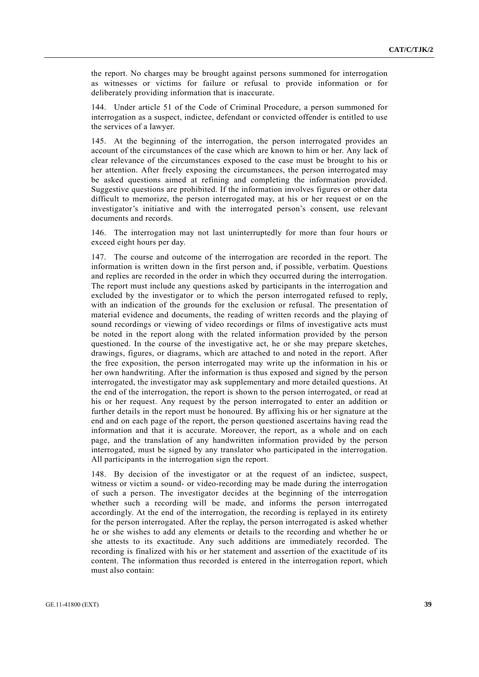the report. No charges may be brought against persons summoned for interrogation as witnesses or victims for failure or refusal to provide information or for deliberately providing information that is inaccurate.

144. Under article 51 of the Code of Criminal Procedure, a person summoned for interrogation as a suspect, indictee, defendant or convicted offender is entitled to use the services of a lawyer.

145. At the beginning of the interrogation, the person interrogated provides an account of the circumstances of the case which are known to him or her. Any lack of clear relevance of the circumstances exposed to the case must be brought to his or her attention. After freely exposing the circumstances, the person interrogated may be asked questions aimed at refining and completing the information provided. Suggestive questions are prohibited. If the information involves figures or other data difficult to memorize, the person interrogated may, at his or her request or on the investigator's initiative and with the interrogated person's consent, use relevant documents and records.

146. The interrogation may not last uninterruptedly for more than four hours or exceed eight hours per day.

147. The course and outcome of the interrogation are recorded in the report. The information is written down in the first person and, if possible, verbatim. Questions and replies are recorded in the order in which they occurred during the interrogation. The report must include any questions asked by participants in the interrogation and excluded by the investigator or to which the person interrogated refused to reply, with an indication of the grounds for the exclusion or refusal. The presentation of material evidence and documents, the reading of written records and the playing of sound recordings or viewing of video recordings or films of investigative acts must be noted in the report along with the related information provided by the person questioned. In the course of the investigative act, he or she may prepare sketches, drawings, figures, or diagrams, which are attached to and noted in the report. After the free exposition, the person interrogated may write up the information in his or her own handwriting. After the information is thus exposed and signed by the person interrogated, the investigator may ask supplementary and more detailed questions. At the end of the interrogation, the report is shown to the person interrogated, or read at his or her request. Any request by the person interrogated to enter an addition or further details in the report must be honoured. By affixing his or her signature at the end and on each page of the report, the person questioned ascertains having read the information and that it is accurate. Moreover, the report, as a whole and on each page, and the translation of any handwritten information provided by the person interrogated, must be signed by any translator who participated in the interrogation. All participants in the interrogation sign the report.

148. By decision of the investigator or at the request of an indictee, suspect, witness or victim a sound- or video-recording may be made during the interrogation of such a person. The investigator decides at the beginning of the interrogation whether such a recording will be made, and informs the person interrogated accordingly. At the end of the interrogation, the recording is replayed in its entirety for the person interrogated. After the replay, the person interrogated is asked whether he or she wishes to add any elements or details to the recording and whether he or she attests to its exactitude. Any such additions are immediately recorded. The recording is finalized with his or her statement and assertion of the exactitude of its content. The information thus recorded is entered in the interrogation report, which must also contain: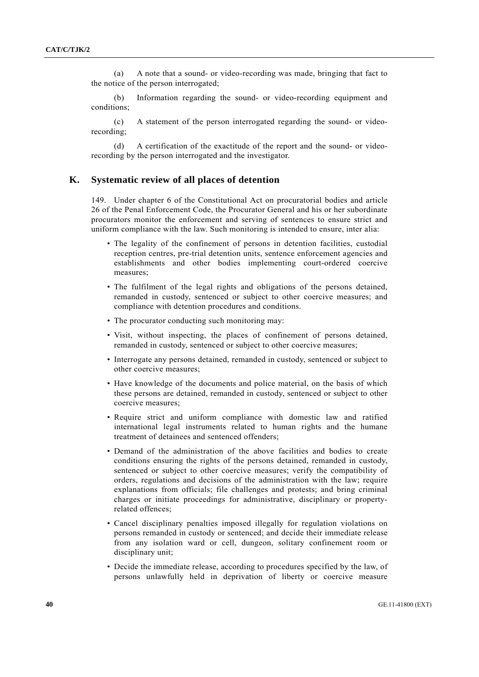(a) A note that a sound- or video-recording was made, bringing that fact to the notice of the person interrogated;

 (b) Information regarding the sound- or video-recording equipment and conditions;

 (c) A statement of the person interrogated regarding the sound- or videorecording;

 (d) A certification of the exactitude of the report and the sound- or videorecording by the person interrogated and the investigator.

## **K. Systematic review of all places of detention**

149. Under chapter 6 of the Constitutional Act on procuratorial bodies and article 26 of the Penal Enforcement Code, the Procurator General and his or her subordinate procurators monitor the enforcement and serving of sentences to ensure strict and uniform compliance with the law. Such monitoring is intended to ensure, inter alia:

- The legality of the confinement of persons in detention facilities, custodial reception centres, pre-trial detention units, sentence enforcement agencies and establishments and other bodies implementing court-ordered coercive measures;
- The fulfilment of the legal rights and obligations of the persons detained, remanded in custody, sentenced or subject to other coercive measures; and compliance with detention procedures and conditions.
- The procurator conducting such monitoring may:
- Visit, without inspecting, the places of confinement of persons detained, remanded in custody, sentenced or subject to other coercive measures;
- Interrogate any persons detained, remanded in custody, sentenced or subject to other coercive measures;
- Have knowledge of the documents and police material, on the basis of which these persons are detained, remanded in custody, sentenced or subject to other coercive measures;
- Require strict and uniform compliance with domestic law and ratified international legal instruments related to human rights and the humane treatment of detainees and sentenced offenders;
- Demand of the administration of the above facilities and bodies to create conditions ensuring the rights of the persons detained, remanded in custody, sentenced or subject to other coercive measures; verify the compatibility of orders, regulations and decisions of the administration with the law; require explanations from officials; file challenges and protests; and bring criminal charges or initiate proceedings for administrative, disciplinary or propertyrelated offences;
- Cancel disciplinary penalties imposed illegally for regulation violations on persons remanded in custody or sentenced; and decide their immediate release from any isolation ward or cell, dungeon, solitary confinement room or disciplinary unit;
- Decide the immediate release, according to procedures specified by the law, of persons unlawfully held in deprivation of liberty or coercive measure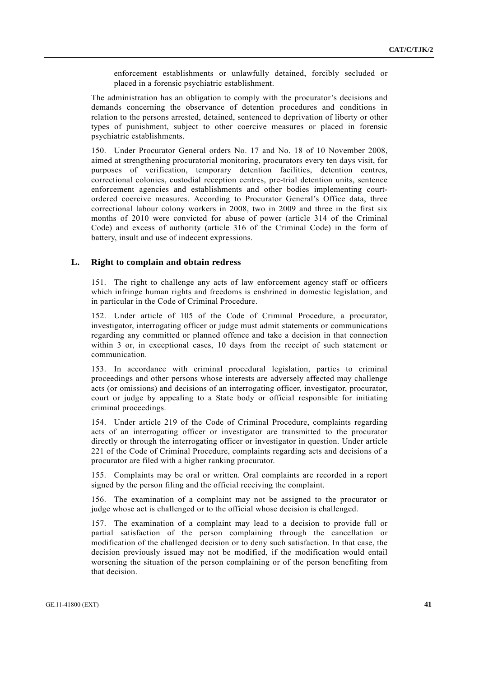enforcement establishments or unlawfully detained, forcibly secluded or placed in a forensic psychiatric establishment.

The administration has an obligation to comply with the procurator's decisions and demands concerning the observance of detention procedures and conditions in relation to the persons arrested, detained, sentenced to deprivation of liberty or other types of punishment, subject to other coercive measures or placed in forensic psychiatric establishments.

150. Under Procurator General orders No. 17 and No. 18 of 10 November 2008, aimed at strengthening procuratorial monitoring, procurators every ten days visit, for purposes of verification, temporary detention facilities, detention centres, correctional colonies, custodial reception centres, pre-trial detention units, sentence enforcement agencies and establishments and other bodies implementing courtordered coercive measures. According to Procurator General's Office data, three correctional labour colony workers in 2008, two in 2009 and three in the first six months of 2010 were convicted for abuse of power (article 314 of the Criminal Code) and excess of authority (article 316 of the Criminal Code) in the form of battery, insult and use of indecent expressions.

#### **L. Right to complain and obtain redress**

151. The right to challenge any acts of law enforcement agency staff or officers which infringe human rights and freedoms is enshrined in domestic legislation, and in particular in the Code of Criminal Procedure.

152. Under article of 105 of the Code of Criminal Procedure, a procurator, investigator, interrogating officer or judge must admit statements or communications regarding any committed or planned offence and take a decision in that connection within 3 or, in exceptional cases, 10 days from the receipt of such statement or communication.

153. In accordance with criminal procedural legislation, parties to criminal proceedings and other persons whose interests are adversely affected may challenge acts (or omissions) and decisions of an interrogating officer, investigator, procurator, court or judge by appealing to a State body or official responsible for initiating criminal proceedings.

154. Under article 219 of the Code of Criminal Procedure, complaints regarding acts of an interrogating officer or investigator are transmitted to the procurator directly or through the interrogating officer or investigator in question. Under article 221 of the Code of Criminal Procedure, complaints regarding acts and decisions of a procurator are filed with a higher ranking procurator.

155. Complaints may be oral or written. Oral complaints are recorded in a report signed by the person filing and the official receiving the complaint.

156. The examination of a complaint may not be assigned to the procurator or judge whose act is challenged or to the official whose decision is challenged.

157. The examination of a complaint may lead to a decision to provide full or partial satisfaction of the person complaining through the cancellation or modification of the challenged decision or to deny such satisfaction. In that case, the decision previously issued may not be modified, if the modification would entail worsening the situation of the person complaining or of the person benefiting from that decision.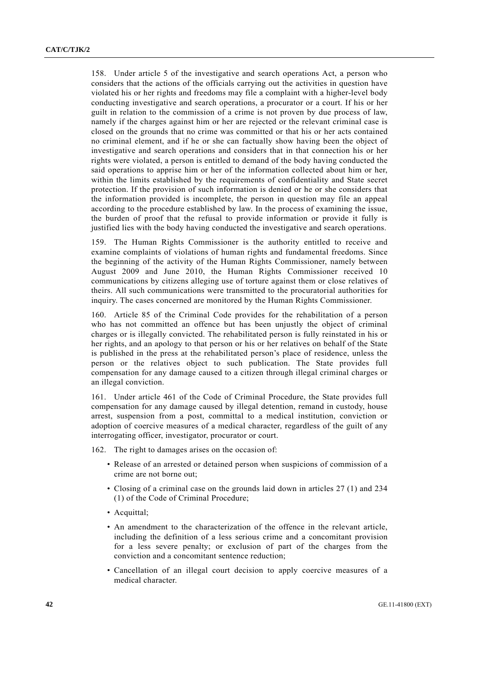158. Under article 5 of the investigative and search operations Act, a person who considers that the actions of the officials carrying out the activities in question have violated his or her rights and freedoms may file a complaint with a higher-level body conducting investigative and search operations, a procurator or a court. If his or her guilt in relation to the commission of a crime is not proven by due process of law, namely if the charges against him or her are rejected or the relevant criminal case is closed on the grounds that no crime was committed or that his or her acts contained no criminal element, and if he or she can factually show having been the object of investigative and search operations and considers that in that connection his or her rights were violated, a person is entitled to demand of the body having conducted the said operations to apprise him or her of the information collected about him or her, within the limits established by the requirements of confidentiality and State secret protection. If the provision of such information is denied or he or she considers that the information provided is incomplete, the person in question may file an appeal according to the procedure established by law. In the process of examining the issue, the burden of proof that the refusal to provide information or provide it fully is justified lies with the body having conducted the investigative and search operations.

159. The Human Rights Commissioner is the authority entitled to receive and examine complaints of violations of human rights and fundamental freedoms. Since the beginning of the activity of the Human Rights Commissioner, namely between August 2009 and June 2010, the Human Rights Commissioner received 10 communications by citizens alleging use of torture against them or close relatives of theirs. All such communications were transmitted to the procuratorial authorities for inquiry. The cases concerned are monitored by the Human Rights Commissioner.

160. Article 85 of the Criminal Code provides for the rehabilitation of a person who has not committed an offence but has been unjustly the object of criminal charges or is illegally convicted. The rehabilitated person is fully reinstated in his or her rights, and an apology to that person or his or her relatives on behalf of the State is published in the press at the rehabilitated person's place of residence, unless the person or the relatives object to such publication. The State provides full compensation for any damage caused to a citizen through illegal criminal charges or an illegal conviction.

161. Under article 461 of the Code of Criminal Procedure, the State provides full compensation for any damage caused by illegal detention, remand in custody, house arrest, suspension from a post, committal to a medical institution, conviction or adoption of coercive measures of a medical character, regardless of the guilt of any interrogating officer, investigator, procurator or court.

162. The right to damages arises on the occasion of:

- Release of an arrested or detained person when suspicions of commission of a crime are not borne out;
- Closing of a criminal case on the grounds laid down in articles 27 (1) and 234 (1) of the Code of Criminal Procedure;
- Acquittal;
- An amendment to the characterization of the offence in the relevant article, including the definition of a less serious crime and a concomitant provision for a less severe penalty; or exclusion of part of the charges from the conviction and a concomitant sentence reduction;
- Cancellation of an illegal court decision to apply coercive measures of a medical character.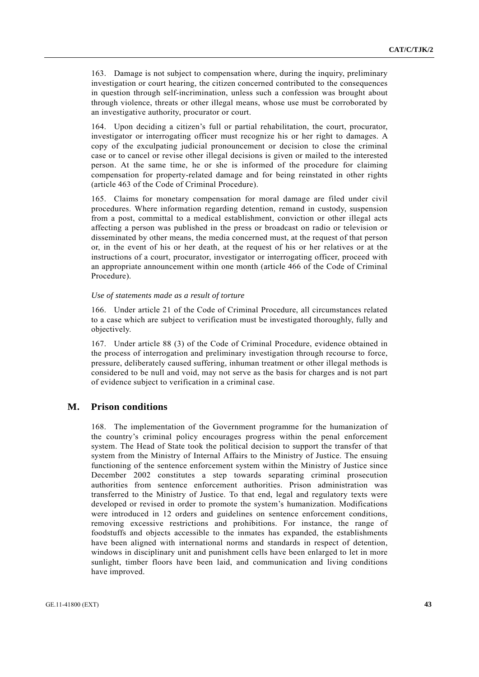163. Damage is not subject to compensation where, during the inquiry, preliminary investigation or court hearing, the citizen concerned contributed to the consequences in question through self-incrimination, unless such a confession was brought about through violence, threats or other illegal means, whose use must be corroborated by an investigative authority, procurator or court.

164. Upon deciding a citizen's full or partial rehabilitation, the court, procurator, investigator or interrogating officer must recognize his or her right to damages. A copy of the exculpating judicial pronouncement or decision to close the criminal case or to cancel or revise other illegal decisions is given or mailed to the interested person. At the same time, he or she is informed of the procedure for claiming compensation for property-related damage and for being reinstated in other rights (article 463 of the Code of Criminal Procedure).

165. Claims for monetary compensation for moral damage are filed under civil procedures. Where information regarding detention, remand in custody, suspension from a post, committal to a medical establishment, conviction or other illegal acts affecting a person was published in the press or broadcast on radio or television or disseminated by other means, the media concerned must, at the request of that person or, in the event of his or her death, at the request of his or her relatives or at the instructions of a court, procurator, investigator or interrogating officer, proceed with an appropriate announcement within one month (article 466 of the Code of Criminal Procedure).

#### *Use of statements made as a result of torture*

166. Under article 21 of the Code of Criminal Procedure, all circumstances related to a case which are subject to verification must be investigated thoroughly, fully and objectively.

167. Under article 88 (3) of the Code of Criminal Procedure, evidence obtained in the process of interrogation and preliminary investigation through recourse to force, pressure, deliberately caused suffering, inhuman treatment or other illegal methods is considered to be null and void, may not serve as the basis for charges and is not part of evidence subject to verification in a criminal case.

#### **M. Prison conditions**

168. The implementation of the Government programme for the humanization of the country's criminal policy encourages progress within the penal enforcement system. The Head of State took the political decision to support the transfer of that system from the Ministry of Internal Affairs to the Ministry of Justice. The ensuing functioning of the sentence enforcement system within the Ministry of Justice since December 2002 constitutes a step towards separating criminal prosecution authorities from sentence enforcement authorities. Prison administration was transferred to the Ministry of Justice. To that end, legal and regulatory texts were developed or revised in order to promote the system's humanization. Modifications were introduced in 12 orders and guidelines on sentence enforcement conditions, removing excessive restrictions and prohibitions. For instance, the range of foodstuffs and objects accessible to the inmates has expanded, the establishments have been aligned with international norms and standards in respect of detention, windows in disciplinary unit and punishment cells have been enlarged to let in more sunlight, timber floors have been laid, and communication and living conditions have improved.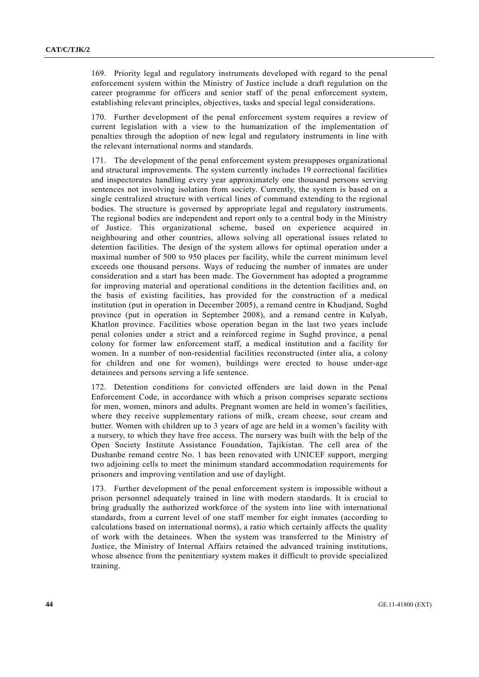169. Priority legal and regulatory instruments developed with regard to the penal enforcement system within the Ministry of Justice include a draft regulation on the career programme for officers and senior staff of the penal enforcement system, establishing relevant principles, objectives, tasks and special legal considerations.

170. Further development of the penal enforcement system requires a review of current legislation with a view to the humanization of the implementation of penalties through the adoption of new legal and regulatory instruments in line with the relevant international norms and standards.

171. The development of the penal enforcement system presupposes organizational and structural improvements. The system currently includes 19 correctional facilities and inspectorates handling every year approximately one thousand persons serving sentences not involving isolation from society. Currently, the system is based on a single centralized structure with vertical lines of command extending to the regional bodies. The structure is governed by appropriate legal and regulatory instruments. The regional bodies are independent and report only to a central body in the Ministry of Justice. This organizational scheme, based on experience acquired in neighbouring and other countries, allows solving all operational issues related to detention facilities. The design of the system allows for optimal operation under a maximal number of 500 to 950 places per facility, while the current minimum level exceeds one thousand persons. Ways of reducing the number of inmates are under consideration and a start has been made. The Government has adopted a programme for improving material and operational conditions in the detention facilities and, on the basis of existing facilities, has provided for the construction of a medical institution (put in operation in December 2005), a remand centre in Khudjand, Sughd province (put in operation in September 2008), and a remand centre in Kulyab, Khatlon province. Facilities whose operation began in the last two years include penal colonies under a strict and a reinforced regime in Sughd province, a penal colony for former law enforcement staff, a medical institution and a facility for women. In a number of non-residential facilities reconstructed (inter alia, a colony for children and one for women), buildings were erected to house under-age detainees and persons serving a life sentence.

172. Detention conditions for convicted offenders are laid down in the Penal Enforcement Code, in accordance with which a prison comprises separate sections for men, women, minors and adults. Pregnant women are held in women's facilities, where they receive supplementary rations of milk, cream cheese, sour cream and butter. Women with children up to 3 years of age are held in a women's facility with a nursery, to which they have free access. The nursery was built with the help of the Open Society Institute Assistance Foundation, Tajikistan. The cell area of the Dushanbe remand centre No. 1 has been renovated with UNICEF support, merging two adjoining cells to meet the minimum standard accommodation requirements for prisoners and improving ventilation and use of daylight.

173. Further development of the penal enforcement system is impossible without a prison personnel adequately trained in line with modern standards. It is crucial to bring gradually the authorized workforce of the system into line with international standards, from a current level of one staff member for eight inmates (according to calculations based on international norms), a ratio which certainly affects the quality of work with the detainees. When the system was transferred to the Ministry of Justice, the Ministry of Internal Affairs retained the advanced training institutions, whose absence from the penitentiary system makes it difficult to provide specialized training.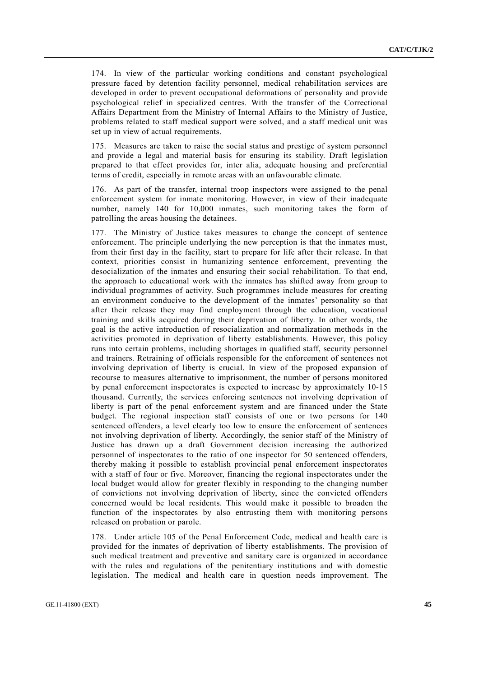174. In view of the particular working conditions and constant psychological pressure faced by detention facility personnel, medical rehabilitation services are developed in order to prevent occupational deformations of personality and provide psychological relief in specialized centres. With the transfer of the Correctional Affairs Department from the Ministry of Internal Affairs to the Ministry of Justice, problems related to staff medical support were solved, and a staff medical unit was set up in view of actual requirements.

175. Measures are taken to raise the social status and prestige of system personnel and provide a legal and material basis for ensuring its stability. Draft legislation prepared to that effect provides for, inter alia, adequate housing and preferential terms of credit, especially in remote areas with an unfavourable climate.

176. As part of the transfer, internal troop inspectors were assigned to the penal enforcement system for inmate monitoring. However, in view of their inadequate number, namely 140 for 10,000 inmates, such monitoring takes the form of patrolling the areas housing the detainees.

177. The Ministry of Justice takes measures to change the concept of sentence enforcement. The principle underlying the new perception is that the inmates must, from their first day in the facility, start to prepare for life after their release. In that context, priorities consist in humanizing sentence enforcement, preventing the desocialization of the inmates and ensuring their social rehabilitation. To that end, the approach to educational work with the inmates has shifted away from group to individual programmes of activity. Such programmes include measures for creating an environment conducive to the development of the inmates' personality so that after their release they may find employment through the education, vocational training and skills acquired during their deprivation of liberty. In other words, the goal is the active introduction of resocialization and normalization methods in the activities promoted in deprivation of liberty establishments. However, this policy runs into certain problems, including shortages in qualified staff, security personnel and trainers. Retraining of officials responsible for the enforcement of sentences not involving deprivation of liberty is crucial. In view of the proposed expansion of recourse to measures alternative to imprisonment, the number of persons monitored by penal enforcement inspectorates is expected to increase by approximately 10-15 thousand. Currently, the services enforcing sentences not involving deprivation of liberty is part of the penal enforcement system and are financed under the State budget. The regional inspection staff consists of one or two persons for 140 sentenced offenders, a level clearly too low to ensure the enforcement of sentences not involving deprivation of liberty. Accordingly, the senior staff of the Ministry of Justice has drawn up a draft Government decision increasing the authorized personnel of inspectorates to the ratio of one inspector for 50 sentenced offenders, thereby making it possible to establish provincial penal enforcement inspectorates with a staff of four or five. Moreover, financing the regional inspectorates under the local budget would allow for greater flexibly in responding to the changing number of convictions not involving deprivation of liberty, since the convicted offenders concerned would be local residents. This would make it possible to broaden the function of the inspectorates by also entrusting them with monitoring persons released on probation or parole.

178. Under article 105 of the Penal Enforcement Code, medical and health care is provided for the inmates of deprivation of liberty establishments. The provision of such medical treatment and preventive and sanitary care is organized in accordance with the rules and regulations of the penitentiary institutions and with domestic legislation. The medical and health care in question needs improvement. The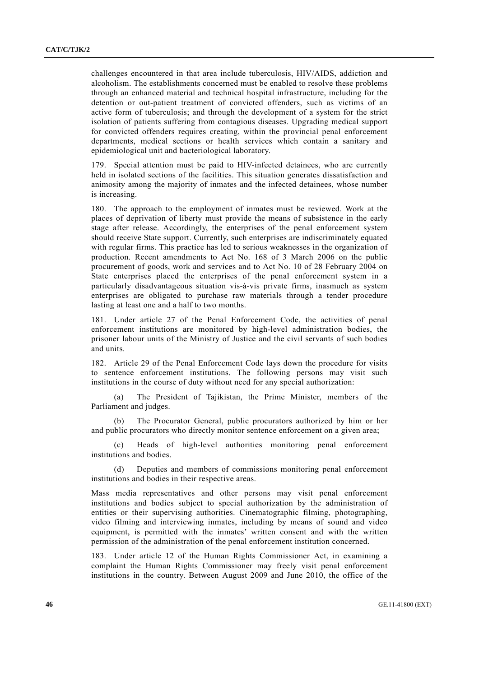challenges encountered in that area include tuberculosis, HIV/AIDS, addiction and alcoholism. The establishments concerned must be enabled to resolve these problems through an enhanced material and technical hospital infrastructure, including for the detention or out-patient treatment of convicted offenders, such as victims of an active form of tuberculosis; and through the development of a system for the strict isolation of patients suffering from contagious diseases. Upgrading medical support for convicted offenders requires creating, within the provincial penal enforcement departments, medical sections or health services which contain a sanitary and epidemiological unit and bacteriological laboratory.

179. Special attention must be paid to HIV-infected detainees, who are currently held in isolated sections of the facilities. This situation generates dissatisfaction and animosity among the majority of inmates and the infected detainees, whose number is increasing.

180. The approach to the employment of inmates must be reviewed. Work at the places of deprivation of liberty must provide the means of subsistence in the early stage after release. Accordingly, the enterprises of the penal enforcement system should receive State support. Currently, such enterprises are indiscriminately equated with regular firms. This practice has led to serious weaknesses in the organization of production. Recent amendments to Act No. 168 of 3 March 2006 on the public procurement of goods, work and services and to Act No. 10 of 28 February 2004 on State enterprises placed the enterprises of the penal enforcement system in a particularly disadvantageous situation vis-à-vis private firms, inasmuch as system enterprises are obligated to purchase raw materials through a tender procedure lasting at least one and a half to two months.

181. Under article 27 of the Penal Enforcement Code, the activities of penal enforcement institutions are monitored by high-level administration bodies, the prisoner labour units of the Ministry of Justice and the civil servants of such bodies and units.

182. Article 29 of the Penal Enforcement Code lays down the procedure for visits to sentence enforcement institutions. The following persons may visit such institutions in the course of duty without need for any special authorization:

 (a) The President of Tajikistan, the Prime Minister, members of the Parliament and judges.

 (b) The Procurator General, public procurators authorized by him or her and public procurators who directly monitor sentence enforcement on a given area;

 (c) Heads of high-level authorities monitoring penal enforcement institutions and bodies.

 (d) Deputies and members of commissions monitoring penal enforcement institutions and bodies in their respective areas.

Mass media representatives and other persons may visit penal enforcement institutions and bodies subject to special authorization by the administration of entities or their supervising authorities. Cinematographic filming, photographing, video filming and interviewing inmates, including by means of sound and video equipment, is permitted with the inmates' written consent and with the written permission of the administration of the penal enforcement institution concerned.

183. Under article 12 of the Human Rights Commissioner Act, in examining a complaint the Human Rights Commissioner may freely visit penal enforcement institutions in the country. Between August 2009 and June 2010, the office of the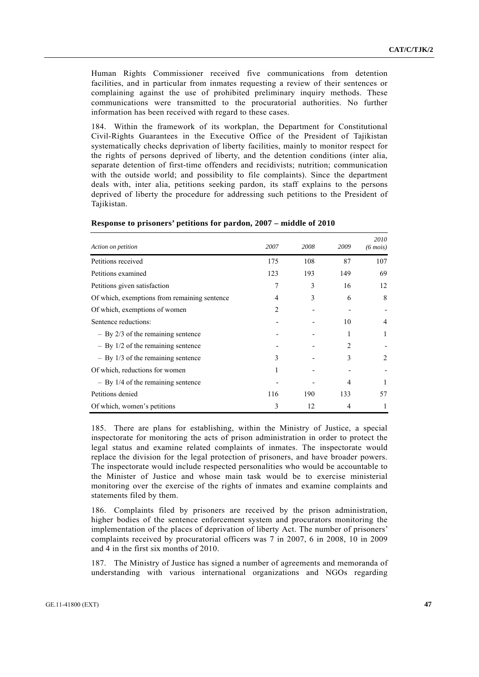Human Rights Commissioner received five communications from detention facilities, and in particular from inmates requesting a review of their sentences or complaining against the use of prohibited preliminary inquiry methods. These communications were transmitted to the procuratorial authorities. No further information has been received with regard to these cases.

184. Within the framework of its workplan, the Department for Constitutional Civil-Rights Guarantees in the Executive Office of the President of Tajikistan systematically checks deprivation of liberty facilities, mainly to monitor respect for the rights of persons deprived of liberty, and the detention conditions (inter alia, separate detention of first-time offenders and recidivists; nutrition; communication with the outside world; and possibility to file complaints). Since the department deals with, inter alia, petitions seeking pardon, its staff explains to the persons deprived of liberty the procedure for addressing such petitions to the President of Tajikistan.

| Action on petition                           | 2007           | 2008 | 2009           | 2010<br>$(6 \text{ mois})$ |
|----------------------------------------------|----------------|------|----------------|----------------------------|
| Petitions received                           | 175            | 108  | 87             | 107                        |
| Petitions examined                           | 123            | 193  | 149            | 69                         |
| Petitions given satisfaction                 | 7              | 3    | 16             | 12                         |
| Of which, exemptions from remaining sentence | 4              | 3    | 6              | 8                          |
| Of which, exemptions of women                | $\overline{2}$ |      |                |                            |
| Sentence reductions:                         |                |      | 10             | 4                          |
| $-$ By 2/3 of the remaining sentence         |                |      | 1              |                            |
| $-$ By 1/2 of the remaining sentence         |                |      | $\mathfrak{D}$ |                            |
| $-$ By 1/3 of the remaining sentence         | 3              |      | 3              | 2                          |
| Of which, reductions for women               |                |      |                |                            |
| $-$ By 1/4 of the remaining sentence         |                |      | 4              |                            |
| Petitions denied                             | 116            | 190  | 133            | 57                         |
| Of which, women's petitions                  | 3              | 12   | 4              |                            |

#### **Response to prisoners' petitions for pardon, 2007 – middle of 2010**

185. There are plans for establishing, within the Ministry of Justice, a special inspectorate for monitoring the acts of prison administration in order to protect the legal status and examine related complaints of inmates. The inspectorate would replace the division for the legal protection of prisoners, and have broader powers. The inspectorate would include respected personalities who would be accountable to the Minister of Justice and whose main task would be to exercise ministerial monitoring over the exercise of the rights of inmates and examine complaints and statements filed by them.

186. Complaints filed by prisoners are received by the prison administration, higher bodies of the sentence enforcement system and procurators monitoring the implementation of the places of deprivation of liberty Act. The number of prisoners' complaints received by procuratorial officers was 7 in 2007, 6 in 2008, 10 in 2009 and 4 in the first six months of 2010.

187. The Ministry of Justice has signed a number of agreements and memoranda of understanding with various international organizations and NGOs regarding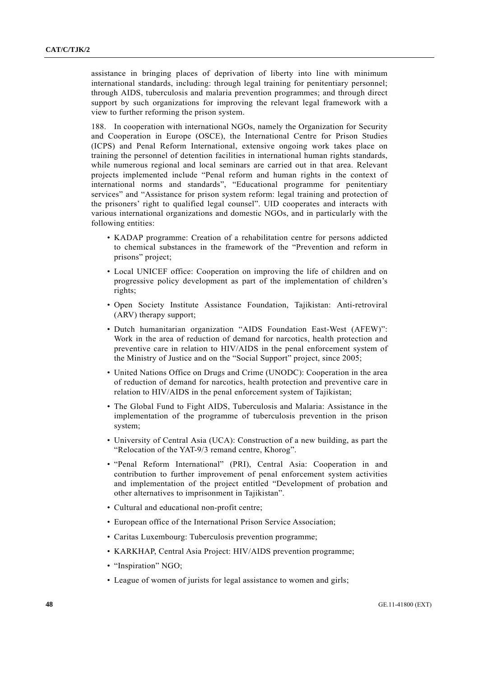assistance in bringing places of deprivation of liberty into line with minimum international standards, including: through legal training for penitentiary personnel; through AIDS, tuberculosis and malaria prevention programmes; and through direct support by such organizations for improving the relevant legal framework with a view to further reforming the prison system.

188. In cooperation with international NGOs, namely the Organization for Security and Cooperation in Europe (OSCE), the International Centre for Prison Studies (ICPS) and Penal Reform International, extensive ongoing work takes place on training the personnel of detention facilities in international human rights standards, while numerous regional and local seminars are carried out in that area. Relevant projects implemented include "Penal reform and human rights in the context of international norms and standards", "Educational programme for penitentiary services" and "Assistance for prison system reform: legal training and protection of the prisoners' right to qualified legal counsel". UID cooperates and interacts with various international organizations and domestic NGOs, and in particularly with the following entities:

- KADAP programme: Creation of a rehabilitation centre for persons addicted to chemical substances in the framework of the "Prevention and reform in prisons" project;
- Local UNICEF office: Cooperation on improving the life of children and on progressive policy development as part of the implementation of children's rights;
- Open Society Institute Assistance Foundation, Tajikistan: Anti-retroviral (ARV) therapy support;
- Dutch humanitarian organization "AIDS Foundation East-West (AFEW)": Work in the area of reduction of demand for narcotics, health protection and preventive care in relation to HIV/AIDS in the penal enforcement system of the Ministry of Justice and on the "Social Support" project, since 2005;
- United Nations Office on Drugs and Crime (UNODC): Cooperation in the area of reduction of demand for narcotics, health protection and preventive care in relation to HIV/AIDS in the penal enforcement system of Tajikistan;
- The Global Fund to Fight AIDS, Tuberculosis and Malaria: Assistance in the implementation of the programme of tuberculosis prevention in the prison system;
- University of Central Asia (UCA): Construction of a new building, as part the "Relocation of the YAT-9/3 remand centre, Khorog".
- "Penal Reform International" (PRI), Central Asia: Cooperation in and contribution to further improvement of penal enforcement system activities and implementation of the project entitled "Development of probation and other alternatives to imprisonment in Tajikistan".
- Cultural and educational non-profit centre;
- European office of the International Prison Service Association;
- Caritas Luxembourg: Tuberculosis prevention programme;
- KARKHAP, Central Asia Project: HIV/AIDS prevention programme;
- "Inspiration" NGO;
- League of women of jurists for legal assistance to women and girls;